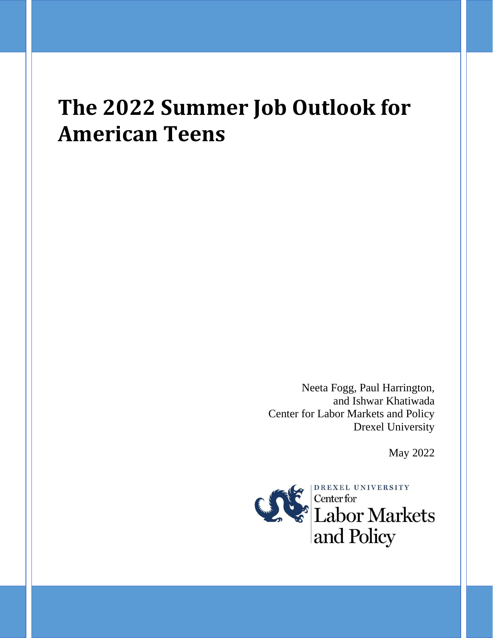# **The 2022 Summer Job Outlook for American Teens**

Neeta Fogg, Paul Harrington, and Ishwar Khatiwada Center for Labor Markets and Policy Drexel University

May 2022

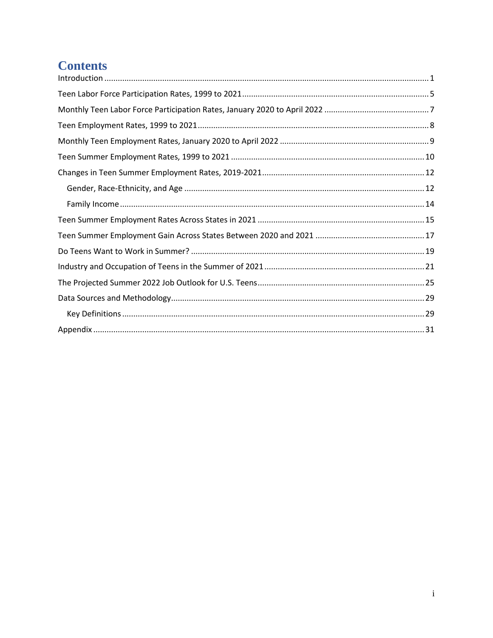# **Contents**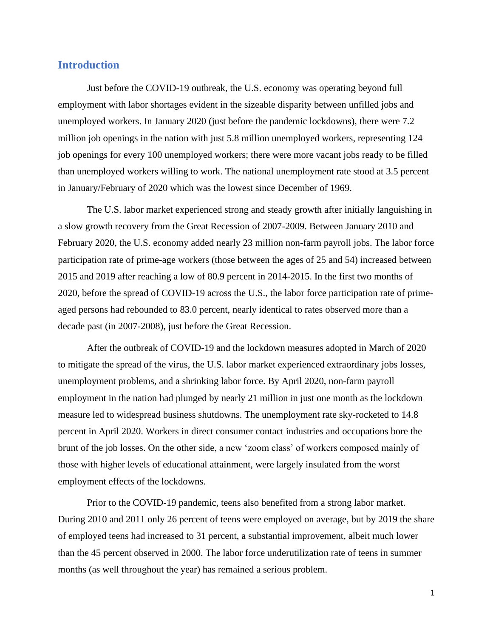## <span id="page-2-0"></span>**Introduction**

Just before the COVID-19 outbreak, the U.S. economy was operating beyond full employment with labor shortages evident in the sizeable disparity between unfilled jobs and unemployed workers. In January 2020 (just before the pandemic lockdowns), there were 7.2 million job openings in the nation with just 5.8 million unemployed workers, representing 124 job openings for every 100 unemployed workers; there were more vacant jobs ready to be filled than unemployed workers willing to work. The national unemployment rate stood at 3.5 percent in January/February of 2020 which was the lowest since December of 1969.

The U.S. labor market experienced strong and steady growth after initially languishing in a slow growth recovery from the Great Recession of 2007-2009. Between January 2010 and February 2020, the U.S. economy added nearly 23 million non-farm payroll jobs. The labor force participation rate of prime-age workers (those between the ages of 25 and 54) increased between 2015 and 2019 after reaching a low of 80.9 percent in 2014-2015. In the first two months of 2020, before the spread of COVID-19 across the U.S., the labor force participation rate of primeaged persons had rebounded to 83.0 percent, nearly identical to rates observed more than a decade past (in 2007-2008), just before the Great Recession.

After the outbreak of COVID-19 and the lockdown measures adopted in March of 2020 to mitigate the spread of the virus, the U.S. labor market experienced extraordinary jobs losses, unemployment problems, and a shrinking labor force. By April 2020, non-farm payroll employment in the nation had plunged by nearly 21 million in just one month as the lockdown measure led to widespread business shutdowns. The unemployment rate sky-rocketed to 14.8 percent in April 2020. Workers in direct consumer contact industries and occupations bore the brunt of the job losses. On the other side, a new 'zoom class' of workers composed mainly of those with higher levels of educational attainment, were largely insulated from the worst employment effects of the lockdowns.

Prior to the COVID-19 pandemic, teens also benefited from a strong labor market. During 2010 and 2011 only 26 percent of teens were employed on average, but by 2019 the share of employed teens had increased to 31 percent, a substantial improvement, albeit much lower than the 45 percent observed in 2000. The labor force underutilization rate of teens in summer months (as well throughout the year) has remained a serious problem.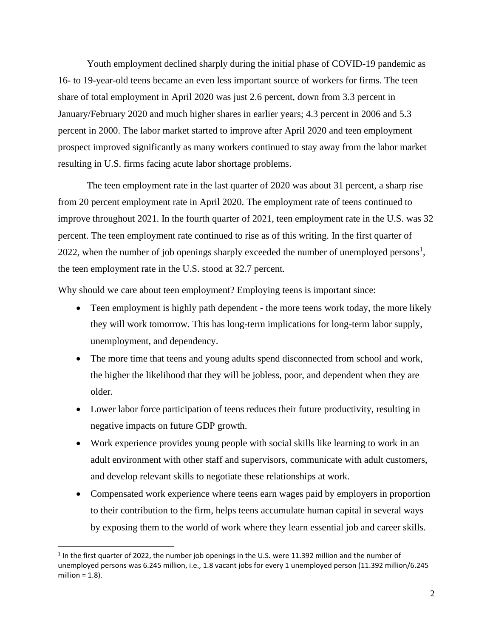Youth employment declined sharply during the initial phase of COVID-19 pandemic as 16- to 19-year-old teens became an even less important source of workers for firms. The teen share of total employment in April 2020 was just 2.6 percent, down from 3.3 percent in January/February 2020 and much higher shares in earlier years; 4.3 percent in 2006 and 5.3 percent in 2000. The labor market started to improve after April 2020 and teen employment prospect improved significantly as many workers continued to stay away from the labor market resulting in U.S. firms facing acute labor shortage problems.

The teen employment rate in the last quarter of 2020 was about 31 percent, a sharp rise from 20 percent employment rate in April 2020. The employment rate of teens continued to improve throughout 2021. In the fourth quarter of 2021, teen employment rate in the U.S. was 32 percent. The teen employment rate continued to rise as of this writing. In the first quarter of 2022, when the number of job openings sharply exceeded the number of unemployed persons<sup>1</sup>, the teen employment rate in the U.S. stood at 32.7 percent.

Why should we care about teen employment? Employing teens is important since:

- Teen employment is highly path dependent the more teens work today, the more likely they will work tomorrow. This has long-term implications for long-term labor supply, unemployment, and dependency.
- The more time that teens and young adults spend disconnected from school and work, the higher the likelihood that they will be jobless, poor, and dependent when they are older.
- Lower labor force participation of teens reduces their future productivity, resulting in negative impacts on future GDP growth.
- Work experience provides young people with social skills like learning to work in an adult environment with other staff and supervisors, communicate with adult customers, and develop relevant skills to negotiate these relationships at work.
- Compensated work experience where teens earn wages paid by employers in proportion to their contribution to the firm, helps teens accumulate human capital in several ways by exposing them to the world of work where they learn essential job and career skills.

<sup>&</sup>lt;sup>1</sup> In the first quarter of 2022, the number job openings in the U.S. were 11.392 million and the number of unemployed persons was 6.245 million, i.e., 1.8 vacant jobs for every 1 unemployed person (11.392 million/6.245 million  $= 1.8$ ).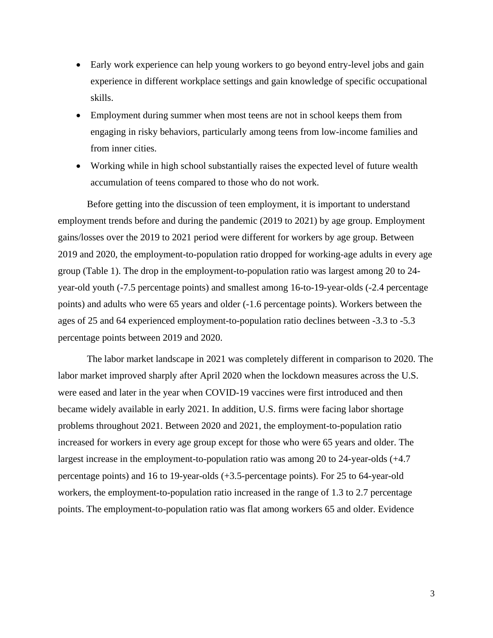- Early work experience can help young workers to go beyond entry-level jobs and gain experience in different workplace settings and gain knowledge of specific occupational skills.
- Employment during summer when most teens are not in school keeps them from engaging in risky behaviors, particularly among teens from low-income families and from inner cities.
- Working while in high school substantially raises the expected level of future wealth accumulation of teens compared to those who do not work.

Before getting into the discussion of teen employment, it is important to understand employment trends before and during the pandemic (2019 to 2021) by age group. Employment gains/losses over the 2019 to 2021 period were different for workers by age group. Between 2019 and 2020, the employment-to-population ratio dropped for working-age adults in every age group (Table 1). The drop in the employment-to-population ratio was largest among 20 to 24 year-old youth (-7.5 percentage points) and smallest among 16-to-19-year-olds (-2.4 percentage points) and adults who were 65 years and older (-1.6 percentage points). Workers between the ages of 25 and 64 experienced employment-to-population ratio declines between -3.3 to -5.3 percentage points between 2019 and 2020.

The labor market landscape in 2021 was completely different in comparison to 2020. The labor market improved sharply after April 2020 when the lockdown measures across the U.S. were eased and later in the year when COVID-19 vaccines were first introduced and then became widely available in early 2021. In addition, U.S. firms were facing labor shortage problems throughout 2021. Between 2020 and 2021, the employment-to-population ratio increased for workers in every age group except for those who were 65 years and older. The largest increase in the employment-to-population ratio was among 20 to 24-year-olds (+4.7 percentage points) and 16 to 19-year-olds (+3.5-percentage points). For 25 to 64-year-old workers, the employment-to-population ratio increased in the range of 1.3 to 2.7 percentage points. The employment-to-population ratio was flat among workers 65 and older. Evidence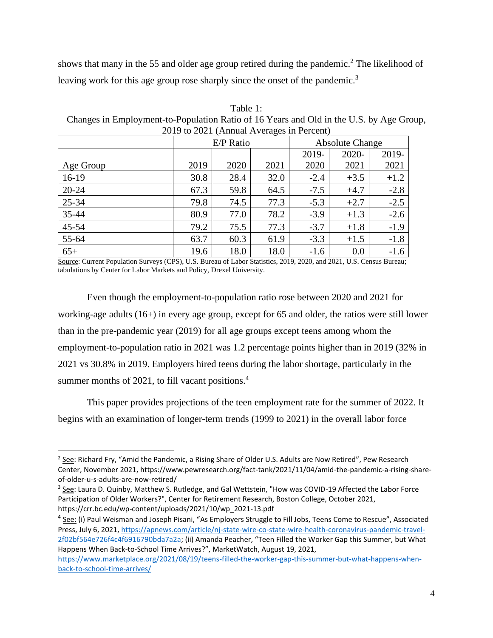shows that many in the 55 and older age group retired during the pandemic.<sup>2</sup> The likelihood of leaving work for this age group rose sharply since the onset of the pandemic.<sup>3</sup>

| Table 1:                                                                                |
|-----------------------------------------------------------------------------------------|
| Changes in Employment-to-Population Ratio of 16 Years and Old in the U.S. by Age Group, |
| 2019 to 2021 (Annual Averages in Percent)                                               |

| $\frac{201}{700}$ to $\frac{202}{700}$ (component in the contract of the contract of the contract of the contract of the contract of the contract of the contract of the contract of the contract of the contract of the contract of |      |           |      |                        |        |        |  |
|--------------------------------------------------------------------------------------------------------------------------------------------------------------------------------------------------------------------------------------|------|-----------|------|------------------------|--------|--------|--|
|                                                                                                                                                                                                                                      |      | E/P Ratio |      | <b>Absolute Change</b> |        |        |  |
|                                                                                                                                                                                                                                      |      |           |      | 2019-                  | 2020-  | 2019-  |  |
| Age Group                                                                                                                                                                                                                            | 2019 | 2020      | 2021 | 2020                   | 2021   | 2021   |  |
| $16-19$                                                                                                                                                                                                                              | 30.8 | 28.4      | 32.0 | $-2.4$                 | $+3.5$ | $+1.2$ |  |
| $20 - 24$                                                                                                                                                                                                                            | 67.3 | 59.8      | 64.5 | $-7.5$                 | $+4.7$ | $-2.8$ |  |
| 25-34                                                                                                                                                                                                                                | 79.8 | 74.5      | 77.3 | $-5.3$                 | $+2.7$ | $-2.5$ |  |
| 35-44                                                                                                                                                                                                                                | 80.9 | 77.0      | 78.2 | $-3.9$                 | $+1.3$ | $-2.6$ |  |
| 45-54                                                                                                                                                                                                                                | 79.2 | 75.5      | 77.3 | $-3.7$                 | $+1.8$ | $-1.9$ |  |
| 55-64                                                                                                                                                                                                                                | 63.7 | 60.3      | 61.9 | $-3.3$                 | $+1.5$ | $-1.8$ |  |
| $65+$                                                                                                                                                                                                                                | 19.6 | 18.0      | 18.0 | $-1.6$                 | 0.0    | $-1.6$ |  |

Source: Current Population Surveys (CPS), U.S. Bureau of Labor Statistics, 2019, 2020, and 2021, U.S. Census Bureau; tabulations by Center for Labor Markets and Policy, Drexel University.

Even though the employment-to-population ratio rose between 2020 and 2021 for working-age adults (16+) in every age group, except for 65 and older, the ratios were still lower than in the pre-pandemic year (2019) for all age groups except teens among whom the employment-to-population ratio in 2021 was 1.2 percentage points higher than in 2019 (32% in 2021 vs 30.8% in 2019. Employers hired teens during the labor shortage, particularly in the summer months of 2021, to fill vacant positions.<sup>4</sup>

This paper provides projections of the teen employment rate for the summer of 2022. It begins with an examination of longer-term trends (1999 to 2021) in the overall labor force

<sup>&</sup>lt;sup>2</sup> See: Richard Fry, "Amid the Pandemic, a Rising Share of Older U.S. Adults are Now Retired", Pew Research Center, November 2021, https://www.pewresearch.org/fact-tank/2021/11/04/amid-the-pandemic-a-rising-shareof-older-u-s-adults-are-now-retired/

<sup>&</sup>lt;sup>3</sup> See: Laura D. Quinby, Matthew S. Rutledge, and Gal Wettstein, "How was COVID-19 Affected the Labor Force Participation of Older Workers?", Center for Retirement Research, Boston College, October 2021, https://crr.bc.edu/wp-content/uploads/2021/10/wp\_2021-13.pdf

<sup>&</sup>lt;sup>4</sup> See: (i) Paul Weisman and Joseph Pisani, "As Employers Struggle to Fill Jobs, Teens Come to Rescue", Associated Press, July 6, 2021[, https://apnews.com/article/nj-state-wire-co-state-wire-health-coronavirus-pandemic-travel-](https://apnews.com/article/nj-state-wire-co-state-wire-health-coronavirus-pandemic-travel-2f02bf564e726f4c4f6916790bda7a2a)[2f02bf564e726f4c4f6916790bda7a2a;](https://apnews.com/article/nj-state-wire-co-state-wire-health-coronavirus-pandemic-travel-2f02bf564e726f4c4f6916790bda7a2a) (ii) Amanda Peacher, "Teen Filled the Worker Gap this Summer, but What Happens When Back-to-School Time Arrives?", MarketWatch, August 19, 2021,

[https://www.marketplace.org/2021/08/19/teens-filled-the-worker-gap-this-summer-but-what-happens-when](https://www.marketplace.org/2021/08/19/teens-filled-the-worker-gap-this-summer-but-what-happens-when-back-to-school-time-arrives/)[back-to-school-time-arrives/](https://www.marketplace.org/2021/08/19/teens-filled-the-worker-gap-this-summer-but-what-happens-when-back-to-school-time-arrives/)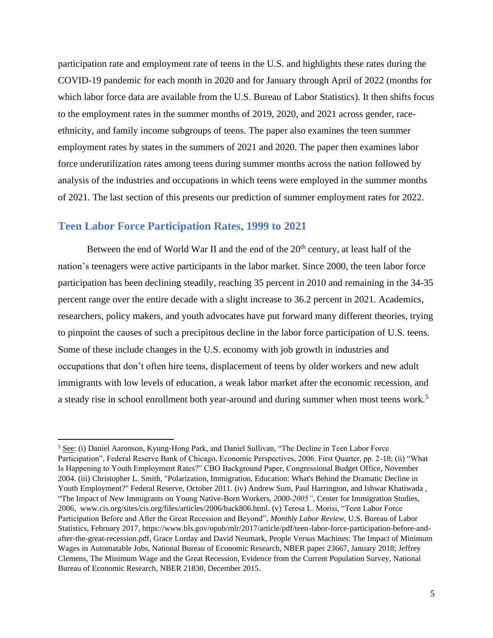participation rate and employment rate of teens in the U.S. and highlights these rates during the COVID-19 pandemic for each month in 2020 and for January through April of 2022 (months for which labor force data are available from the U.S. Bureau of Labor Statistics). It then shifts focus to the employment rates in the summer months of 2019, 2020, and 2021 across gender, raceethnicity, and family income subgroups of teens. The paper also examines the teen summer employment rates by states in the summers of 2021 and 2020. The paper then examines labor force underutilization rates among teens during summer months across the nation followed by analysis of the industries and occupations in which teens were employed in the summer months of 2021. The last section of this presents our prediction of summer employment rates for 2022.

## <span id="page-6-0"></span>**Teen Labor Force Participation Rates, 1999 to 2021**

Between the end of World War II and the end of the  $20<sup>th</sup>$  century, at least half of the nation's teenagers were active participants in the labor market. Since 2000, the teen labor force participation has been declining steadily, reaching 35 percent in 2010 and remaining in the 34-35 percent range over the entire decade with a slight increase to 36.2 percent in 2021. Academics, researchers, policy makers, and youth advocates have put forward many different theories, trying to pinpoint the causes of such a precipitous decline in the labor force participation of U.S. teens. Some of these include changes in the U.S. economy with job growth in industries and occupations that don't often hire teens, displacement of teens by older workers and new adult immigrants with low levels of education, a weak labor market after the economic recession, and a steady rise in school enrollment both year-around and during summer when most teens work.<sup>5</sup>

<sup>5</sup> See: (i) Daniel Aaronson, Kyung-Hong Park, and Daniel Sullivan, "The Decline in Teen Labor Force Participation", Federal Reserve Bank of Chicago, Economic Perspectives, 2006. First Quarter, pp. 2-18; (ii) "What Is Happening to Youth Employment Rates?" CBO Background Paper, Congressional Budget Office, November 2004. (iii) Christopher L. Smith, "Polarization, Immigration, Education: What's Behind the Dramatic Decline in Youth Employment?" Federal Reserve, October 2011. (iv) Andrew Sum, Paul Harrington, and Ishwar Khatiwada , "The Impact of New Immigrants on Young Native-Born Workers, *2000-2005"*, Center for Immigration Studies, 2006, [www.cis.org/sites/cis.org/files/articles/2006/back806.html.](http://www.cis.org/sites/cis.org/files/articles/2006/back806.html) (v) Teresa L. Morisi, "Teen Labor Force Participation Before and After the Great Recession and Beyond", *Monthly Labor Review,* U.S. Bureau of Labor Statistics, February 2017, https://www.bls.gov/opub/mlr/2017/article/pdf/teen-labor-force-participation-before-andafter-the-great-recession.pdf, Grace Lorday and David Neumark, People Versus Machines: The Impact of Minimum Wages in Automatable Jobs, National Bureau of Economic Research, NBER paper 23667, January 2018; Jeffrey Clemens, The Minimum Wage and the Great Recession, Evidence from the Current Population Survey, National Bureau of Economic Research, NBER 21830, December 2015.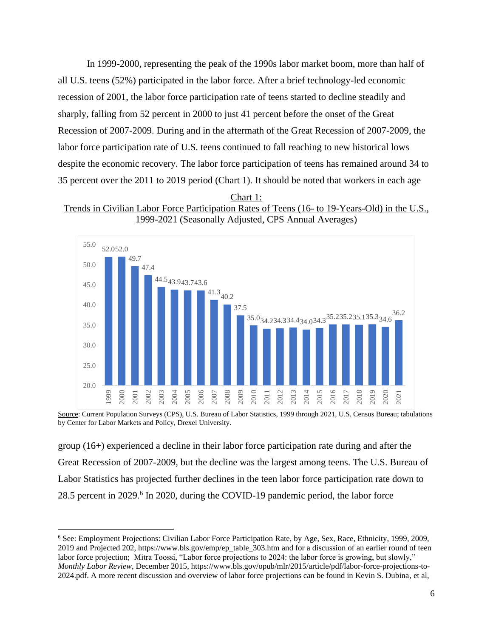In 1999-2000, representing the peak of the 1990s labor market boom, more than half of all U.S. teens (52%) participated in the labor force. After a brief technology-led economic recession of 2001, the labor force participation rate of teens started to decline steadily and sharply, falling from 52 percent in 2000 to just 41 percent before the onset of the Great Recession of 2007-2009. During and in the aftermath of the Great Recession of 2007-2009, the labor force participation rate of U.S. teens continued to fall reaching to new historical lows despite the economic recovery. The labor force participation of teens has remained around 34 to 35 percent over the 2011 to 2019 period (Chart 1). It should be noted that workers in each age





Source: Current Population Surveys (CPS), U.S. Bureau of Labor Statistics, 1999 through 2021, U.S. Census Bureau; tabulations by Center for Labor Markets and Policy, Drexel University.

group (16+) experienced a decline in their labor force participation rate during and after the Great Recession of 2007-2009, but the decline was the largest among teens. The U.S. Bureau of Labor Statistics has projected further declines in the teen labor force participation rate down to 28.5 percent in 2029.<sup>6</sup> In 2020, during the COVID-19 pandemic period, the labor force

<sup>6</sup> See: Employment Projections: Civilian Labor Force Participation Rate, by Age, Sex, Race, Ethnicity, 1999, 2009, 2019 and Projected 202, https://www.bls.gov/emp/ep\_table\_303.htm and for a discussion of an earlier round of teen labor force projection; Mitra Toossi, "Labor force projections to 2024: the labor force is growing, but slowly," *Monthly Labor Review*, December 2015, [https://www.bls.gov/opub/mlr/2015/article/pdf/labor-force-projections-to-](https://www.bls.gov/opub/mlr/2015/article/pdf/labor-force-projections-to-2024.pdf)[2024.pdf.](https://www.bls.gov/opub/mlr/2015/article/pdf/labor-force-projections-to-2024.pdf) A more recent discussion and overview of labor force projections can be found in Kevin S. Dubina, et al,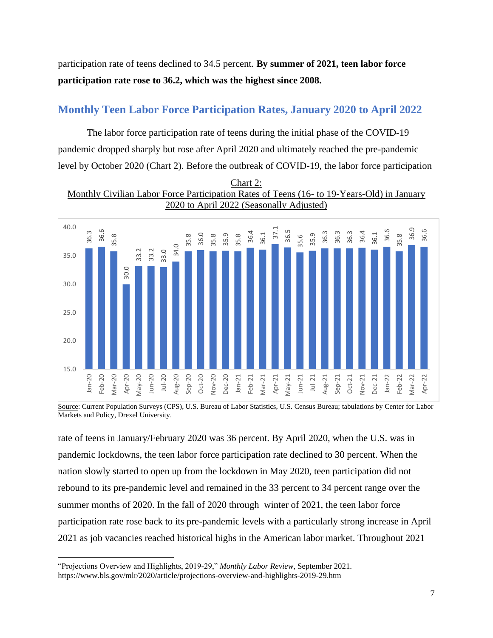participation rate of teens declined to 34.5 percent. **By summer of 2021, teen labor force participation rate rose to 36.2, which was the highest since 2008.**

## <span id="page-8-0"></span>**Monthly Teen Labor Force Participation Rates, January 2020 to April 2022**

The labor force participation rate of teens during the initial phase of the COVID-19 pandemic dropped sharply but rose after April 2020 and ultimately reached the pre-pandemic level by October 2020 (Chart 2). Before the outbreak of COVID-19, the labor force participation





Source: Current Population Surveys (CPS), U.S. Bureau of Labor Statistics, U.S. Census Bureau; tabulations by Center for Labor Markets and Policy, Drexel University.

rate of teens in January/February 2020 was 36 percent. By April 2020, when the U.S. was in pandemic lockdowns, the teen labor force participation rate declined to 30 percent. When the nation slowly started to open up from the lockdown in May 2020, teen participation did not rebound to its pre-pandemic level and remained in the 33 percent to 34 percent range over the summer months of 2020. In the fall of 2020 through winter of 2021, the teen labor force participation rate rose back to its pre-pandemic levels with a particularly strong increase in April 2021 as job vacancies reached historical highs in the American labor market. Throughout 2021

<sup>&</sup>quot;Projections Overview and Highlights, 2019-29," *Monthly Labor Review*, September 2021.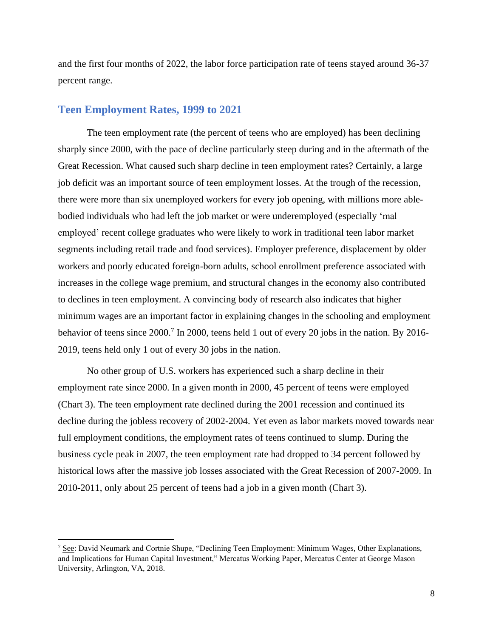and the first four months of 2022, the labor force participation rate of teens stayed around 36-37 percent range.

#### <span id="page-9-0"></span>**Teen Employment Rates, 1999 to 2021**

The teen employment rate (the percent of teens who are employed) has been declining sharply since 2000, with the pace of decline particularly steep during and in the aftermath of the Great Recession. What caused such sharp decline in teen employment rates? Certainly, a large job deficit was an important source of teen employment losses. At the trough of the recession, there were more than six unemployed workers for every job opening, with millions more ablebodied individuals who had left the job market or were underemployed (especially 'mal employed' recent college graduates who were likely to work in traditional teen labor market segments including retail trade and food services). Employer preference, displacement by older workers and poorly educated foreign-born adults, school enrollment preference associated with increases in the college wage premium, and structural changes in the economy also contributed to declines in teen employment. A convincing body of research also indicates that higher minimum wages are an important factor in explaining changes in the schooling and employment behavior of teens since 2000.<sup>7</sup> In 2000, teens held 1 out of every 20 jobs in the nation. By 2016-2019, teens held only 1 out of every 30 jobs in the nation.

No other group of U.S. workers has experienced such a sharp decline in their employment rate since 2000. In a given month in 2000, 45 percent of teens were employed (Chart 3). The teen employment rate declined during the 2001 recession and continued its decline during the jobless recovery of 2002-2004. Yet even as labor markets moved towards near full employment conditions, the employment rates of teens continued to slump. During the business cycle peak in 2007, the teen employment rate had dropped to 34 percent followed by historical lows after the massive job losses associated with the Great Recession of 2007-2009. In 2010-2011, only about 25 percent of teens had a job in a given month (Chart 3).

<sup>&</sup>lt;sup>7</sup> See: David Neumark and Cortnie Shupe, "Declining Teen Employment: Minimum Wages, Other Explanations, and Implications for Human Capital Investment," Mercatus Working Paper, Mercatus Center at George Mason University, Arlington, VA, 2018.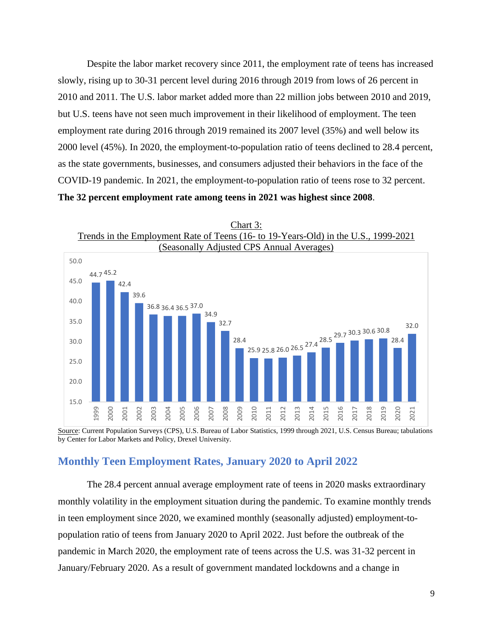Despite the labor market recovery since 2011, the employment rate of teens has increased slowly, rising up to 30-31 percent level during 2016 through 2019 from lows of 26 percent in 2010 and 2011. The U.S. labor market added more than 22 million jobs between 2010 and 2019, but U.S. teens have not seen much improvement in their likelihood of employment. The teen employment rate during 2016 through 2019 remained its 2007 level (35%) and well below its 2000 level (45%). In 2020, the employment-to-population ratio of teens declined to 28.4 percent, as the state governments, businesses, and consumers adjusted their behaviors in the face of the COVID-19 pandemic. In 2021, the employment-to-population ratio of teens rose to 32 percent. **The 32 percent employment rate among teens in 2021 was highest since 2008**.



Source: Current Population Surveys (CPS), U.S. Bureau of Labor Statistics, 1999 through 2021, U.S. Census Bureau; tabulations by Center for Labor Markets and Policy, Drexel University.

## <span id="page-10-0"></span>**Monthly Teen Employment Rates, January 2020 to April 2022**

The 28.4 percent annual average employment rate of teens in 2020 masks extraordinary monthly volatility in the employment situation during the pandemic. To examine monthly trends in teen employment since 2020, we examined monthly (seasonally adjusted) employment-topopulation ratio of teens from January 2020 to April 2022. Just before the outbreak of the pandemic in March 2020, the employment rate of teens across the U.S. was 31-32 percent in January/February 2020. As a result of government mandated lockdowns and a change in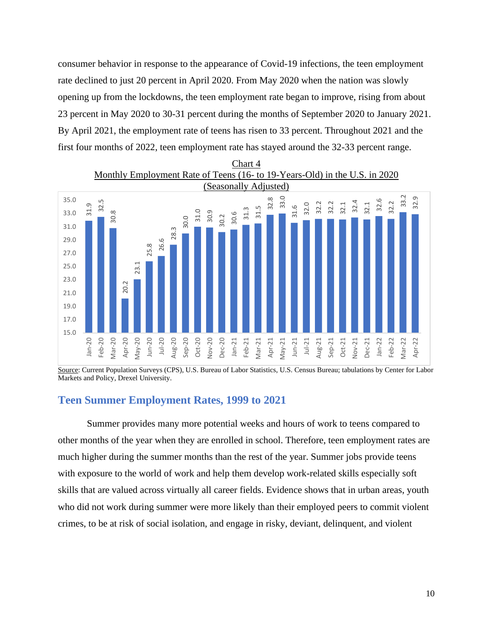consumer behavior in response to the appearance of Covid-19 infections, the teen employment rate declined to just 20 percent in April 2020. From May 2020 when the nation was slowly opening up from the lockdowns, the teen employment rate began to improve, rising from about 23 percent in May 2020 to 30-31 percent during the months of September 2020 to January 2021. By April 2021, the employment rate of teens has risen to 33 percent. Throughout 2021 and the first four months of 2022, teen employment rate has stayed around the 32-33 percent range.



Source: Current Population Surveys (CPS), U.S. Bureau of Labor Statistics, U.S. Census Bureau; tabulations by Center for Labor Markets and Policy, Drexel University.

## <span id="page-11-0"></span>**Teen Summer Employment Rates, 1999 to 2021**

Summer provides many more potential weeks and hours of work to teens compared to other months of the year when they are enrolled in school. Therefore, teen employment rates are much higher during the summer months than the rest of the year. Summer jobs provide teens with exposure to the world of work and help them develop work-related skills especially soft skills that are valued across virtually all career fields. Evidence shows that in urban areas, youth who did not work during summer were more likely than their employed peers to commit violent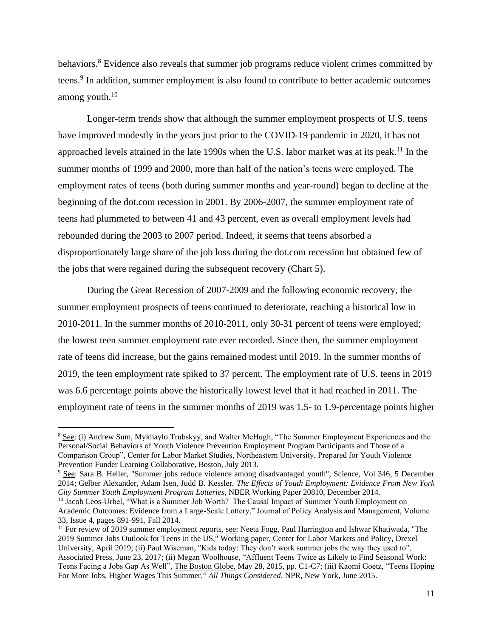behaviors.<sup>8</sup> Evidence also reveals that summer job programs reduce violent crimes committed by teens.<sup>9</sup> In addition, summer employment is also found to contribute to better academic outcomes among youth. 10

Longer-term trends show that although the summer employment prospects of U.S. teens have improved modestly in the years just prior to the COVID-19 pandemic in 2020, it has not approached levels attained in the late 1990s when the U.S. labor market was at its peak.<sup>11</sup> In the summer months of 1999 and 2000, more than half of the nation's teens were employed. The employment rates of teens (both during summer months and year-round) began to decline at the beginning of the dot.com recession in 2001. By 2006-2007, the summer employment rate of teens had plummeted to between 41 and 43 percent, even as overall employment levels had rebounded during the 2003 to 2007 period. Indeed, it seems that teens absorbed a disproportionately large share of the job loss during the dot.com recession but obtained few of the jobs that were regained during the subsequent recovery (Chart 5).

During the Great Recession of 2007-2009 and the following economic recovery, the summer employment prospects of teens continued to deteriorate, reaching a historical low in 2010-2011. In the summer months of 2010-2011, only 30-31 percent of teens were employed; the lowest teen summer employment rate ever recorded. Since then, the summer employment rate of teens did increase, but the gains remained modest until 2019. In the summer months of 2019, the teen employment rate spiked to 37 percent. The employment rate of U.S. teens in 2019 was 6.6 percentage points above the historically lowest level that it had reached in 2011. The employment rate of teens in the summer months of 2019 was 1.5- to 1.9-percentage points higher

<sup>&</sup>lt;sup>8</sup> See: (i) Andrew Sum, Mykhaylo Trubskyy, and Walter McHugh, "The Summer Employment Experiences and the Personal/Social Behaviors of Youth Violence Prevention Employment Program Participants and Those of a Comparison Group", Center for Labor Market Studies, Northeastern University, Prepared for Youth Violence Prevention Funder Learning Collaborative, Boston, July 2013.

<sup>9</sup> See: Sara B. Heller, "Summer jobs reduce violence among disadvantaged youth", Science, Vol 346, 5 December 2014; Gelber Alexander, Adam Isen, Judd B. Kessler, *The Effects of Youth Employment: Evidence From New York City Summer Youth Employment Program Lotteries*, NBER Working Paper 20810, December 2014.

<sup>&</sup>lt;sup>10</sup> Jacob Leos-Urbel, "What is a Summer Job Worth? The Causal Impact of Summer Youth Employment on Academic Outcomes: Evidence from a Large-Scale Lottery," Journal of Policy Analysis and Management, Volume 33, Issue 4, pages 891-991, Fall 2014.

<sup>&</sup>lt;sup>11</sup> For review of 2019 summer employment reports, see: Neeta Fogg, Paul Harrington and Ishwar Khatiwada, "The 2019 Summer Jobs Outlook for Teens in the US," Working paper, Center for Labor Markets and Policy, Drexel University, April 2019; (ii) Paul Wiseman, "Kids today: They don't work summer jobs the way they used to", Associated Press, June 23, 2017; (ii) Megan Woolhouse, "Affluent Teens Twice as Likely to Find Seasonal Work: Teens Facing a Jobs Gap As Well", The Boston Globe, May 28, 2015, pp. C1-C7; (iii) Kaomi Goetz, "Teens Hoping For More Jobs, Higher Wages This Summer," *All Things Considered*, NPR, New York, June 2015.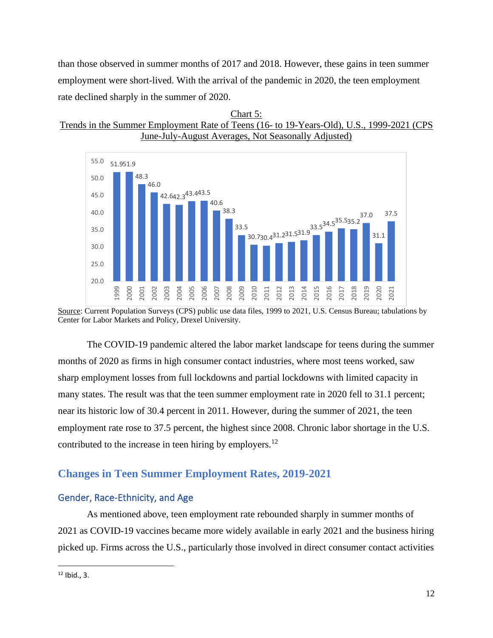than those observed in summer months of 2017 and 2018. However, these gains in teen summer employment were short-lived. With the arrival of the pandemic in 2020, the teen employment rate declined sharply in the summer of 2020.





Source: Current Population Surveys (CPS) public use data files, 1999 to 2021, U.S. Census Bureau; tabulations by Center for Labor Markets and Policy, Drexel University.

The COVID-19 pandemic altered the labor market landscape for teens during the summer months of 2020 as firms in high consumer contact industries, where most teens worked, saw sharp employment losses from full lockdowns and partial lockdowns with limited capacity in many states. The result was that the teen summer employment rate in 2020 fell to 31.1 percent; near its historic low of 30.4 percent in 2011. However, during the summer of 2021, the teen employment rate rose to 37.5 percent, the highest since 2008. Chronic labor shortage in the U.S. contributed to the increase in teen hiring by employers.<sup>12</sup>

## <span id="page-13-0"></span>**Changes in Teen Summer Employment Rates, 2019-2021**

## <span id="page-13-1"></span>Gender, Race-Ethnicity, and Age

As mentioned above, teen employment rate rebounded sharply in summer months of 2021 as COVID-19 vaccines became more widely available in early 2021 and the business hiring picked up. Firms across the U.S., particularly those involved in direct consumer contact activities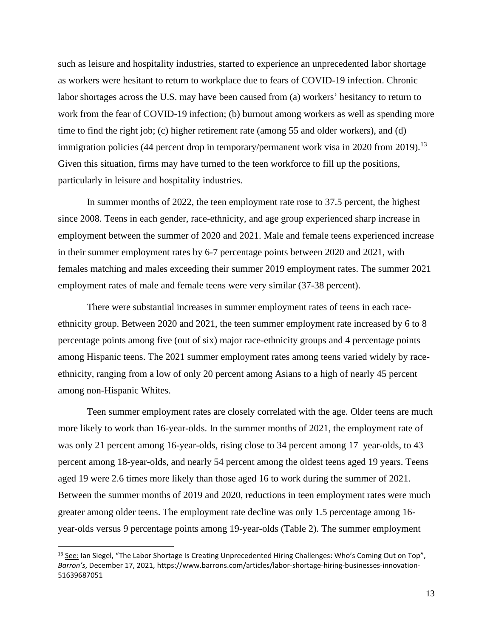such as leisure and hospitality industries, started to experience an unprecedented labor shortage as workers were hesitant to return to workplace due to fears of COVID-19 infection. Chronic labor shortages across the U.S. may have been caused from (a) workers' hesitancy to return to work from the fear of COVID-19 infection; (b) burnout among workers as well as spending more time to find the right job; (c) higher retirement rate (among 55 and older workers), and (d) immigration policies (44 percent drop in temporary/permanent work visa in 2020 from 2019).<sup>13</sup> Given this situation, firms may have turned to the teen workforce to fill up the positions, particularly in leisure and hospitality industries.

In summer months of 2022, the teen employment rate rose to 37.5 percent, the highest since 2008. Teens in each gender, race-ethnicity, and age group experienced sharp increase in employment between the summer of 2020 and 2021. Male and female teens experienced increase in their summer employment rates by 6-7 percentage points between 2020 and 2021, with females matching and males exceeding their summer 2019 employment rates. The summer 2021 employment rates of male and female teens were very similar (37-38 percent).

There were substantial increases in summer employment rates of teens in each raceethnicity group. Between 2020 and 2021, the teen summer employment rate increased by 6 to 8 percentage points among five (out of six) major race-ethnicity groups and 4 percentage points among Hispanic teens. The 2021 summer employment rates among teens varied widely by raceethnicity, ranging from a low of only 20 percent among Asians to a high of nearly 45 percent among non-Hispanic Whites.

Teen summer employment rates are closely correlated with the age. Older teens are much more likely to work than 16-year-olds. In the summer months of 2021, the employment rate of was only 21 percent among 16-year-olds, rising close to 34 percent among 17-year-olds, to 43 percent among 18-year-olds, and nearly 54 percent among the oldest teens aged 19 years. Teens aged 19 were 2.6 times more likely than those aged 16 to work during the summer of 2021. Between the summer months of 2019 and 2020, reductions in teen employment rates were much greater among older teens. The employment rate decline was only 1.5 percentage among 16 year-olds versus 9 percentage points among 19-year-olds (Table 2). The summer employment

<sup>&</sup>lt;sup>13</sup> See: Ian Siegel, "The Labor Shortage Is Creating Unprecedented Hiring Challenges: Who's Coming Out on Top", *Barron's*, December 17, 2021, https://www.barrons.com/articles/labor-shortage-hiring-businesses-innovation-51639687051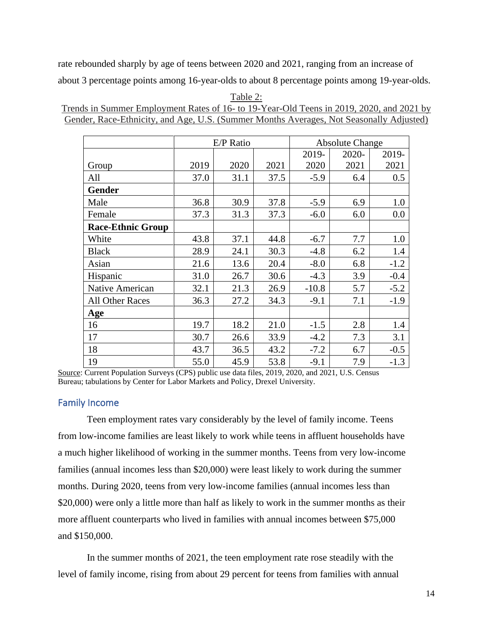rate rebounded sharply by age of teens between 2020 and 2021, ranging from an increase of about 3 percentage points among 16-year-olds to about 8 percentage points among 19-year-olds.

|                          | E/P Ratio<br><b>Absolute Change</b> |      |      |         |       |        |
|--------------------------|-------------------------------------|------|------|---------|-------|--------|
|                          |                                     |      |      | 2019-   | 2020- | 2019-  |
| Group                    | 2019                                | 2020 | 2021 | 2020    | 2021  | 2021   |
| All                      | 37.0                                | 31.1 | 37.5 | $-5.9$  | 6.4   | 0.5    |
| <b>Gender</b>            |                                     |      |      |         |       |        |
| Male                     | 36.8                                | 30.9 | 37.8 | $-5.9$  | 6.9   | 1.0    |
| Female                   | 37.3                                | 31.3 | 37.3 | $-6.0$  | 6.0   | 0.0    |
| <b>Race-Ethnic Group</b> |                                     |      |      |         |       |        |
| White                    | 43.8                                | 37.1 | 44.8 | $-6.7$  | 7.7   | 1.0    |
| <b>Black</b>             | 28.9                                | 24.1 | 30.3 | $-4.8$  | 6.2   | 1.4    |
| Asian                    | 21.6                                | 13.6 | 20.4 | $-8.0$  | 6.8   | $-1.2$ |
| Hispanic                 | 31.0                                | 26.7 | 30.6 | $-4.3$  | 3.9   | $-0.4$ |
| Native American          | 32.1                                | 21.3 | 26.9 | $-10.8$ | 5.7   | $-5.2$ |
| <b>All Other Races</b>   | 36.3                                | 27.2 | 34.3 | $-9.1$  | 7.1   | $-1.9$ |
| Age                      |                                     |      |      |         |       |        |
| 16                       | 19.7                                | 18.2 | 21.0 | $-1.5$  | 2.8   | 1.4    |
| 17                       | 30.7                                | 26.6 | 33.9 | $-4.2$  | 7.3   | 3.1    |
| 18                       | 43.7                                | 36.5 | 43.2 | $-7.2$  | 6.7   | $-0.5$ |
| 19                       | 55.0                                | 45.9 | 53.8 | $-9.1$  | 7.9   | $-1.3$ |

Table 2: Trends in Summer Employment Rates of 16- to 19-Year-Old Teens in 2019, 2020, and 2021 by Gender, Race-Ethnicity, and Age, U.S. (Summer Months Averages, Not Seasonally Adjusted)

Source: Current Population Surveys (CPS) public use data files, 2019, 2020, and 2021, U.S. Census Bureau; tabulations by Center for Labor Markets and Policy, Drexel University.

## <span id="page-15-0"></span>Family Income

Teen employment rates vary considerably by the level of family income. Teens from low-income families are least likely to work while teens in affluent households have a much higher likelihood of working in the summer months. Teens from very low-income families (annual incomes less than \$20,000) were least likely to work during the summer months. During 2020, teens from very low-income families (annual incomes less than \$20,000) were only a little more than half as likely to work in the summer months as their more affluent counterparts who lived in families with annual incomes between \$75,000 and \$150,000.

In the summer months of 2021, the teen employment rate rose steadily with the level of family income, rising from about 29 percent for teens from families with annual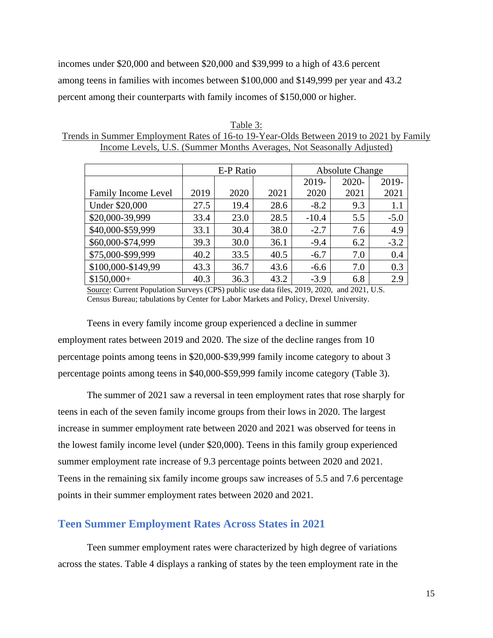incomes under \$20,000 and between \$20,000 and \$39,999 to a high of 43.6 percent among teens in families with incomes between \$100,000 and \$149,999 per year and 43.2 percent among their counterparts with family incomes of \$150,000 or higher.

| Table 3:                                                                               |
|----------------------------------------------------------------------------------------|
| Trends in Summer Employment Rates of 16-to 19-Year-Olds Between 2019 to 2021 by Family |
| Income Levels, U.S. (Summer Months Averages, Not Seasonally Adjusted)                  |

|                            |      | E-P Ratio |      | <b>Absolute Change</b> |       |        |  |
|----------------------------|------|-----------|------|------------------------|-------|--------|--|
|                            |      |           |      | 2019-                  | 2020- | 2019-  |  |
| <b>Family Income Level</b> | 2019 | 2020      | 2021 | 2020                   | 2021  | 2021   |  |
| Under \$20,000             | 27.5 | 19.4      | 28.6 | $-8.2$                 | 9.3   | 1.1    |  |
| \$20,000-39,999            | 33.4 | 23.0      | 28.5 | $-10.4$                | 5.5   | $-5.0$ |  |
| \$40,000-\$59,999          | 33.1 | 30.4      | 38.0 | $-2.7$                 | 7.6   | 4.9    |  |
| \$60,000-\$74,999          | 39.3 | 30.0      | 36.1 | $-9.4$                 | 6.2   | $-3.2$ |  |
| \$75,000-\$99,999          | 40.2 | 33.5      | 40.5 | $-6.7$                 | 7.0   | 0.4    |  |
| \$100,000-\$149,99         | 43.3 | 36.7      | 43.6 | $-6.6$                 | 7.0   | 0.3    |  |
| $$150,000+$                | 40.3 | 36.3      | 43.2 | $-3.9$                 | 6.8   | 2.9    |  |

Source: Current Population Surveys (CPS) public use data files, 2019, 2020, and 2021, U.S. Census Bureau; tabulations by Center for Labor Markets and Policy, Drexel University.

Teens in every family income group experienced a decline in summer employment rates between 2019 and 2020. The size of the decline ranges from 10 percentage points among teens in \$20,000-\$39,999 family income category to about 3 percentage points among teens in \$40,000-\$59,999 family income category (Table 3).

The summer of 2021 saw a reversal in teen employment rates that rose sharply for teens in each of the seven family income groups from their lows in 2020. The largest increase in summer employment rate between 2020 and 2021 was observed for teens in the lowest family income level (under \$20,000). Teens in this family group experienced summer employment rate increase of 9.3 percentage points between 2020 and 2021. Teens in the remaining six family income groups saw increases of 5.5 and 7.6 percentage points in their summer employment rates between 2020 and 2021.

## <span id="page-16-0"></span>**Teen Summer Employment Rates Across States in 2021**

Teen summer employment rates were characterized by high degree of variations across the states. Table 4 displays a ranking of states by the teen employment rate in the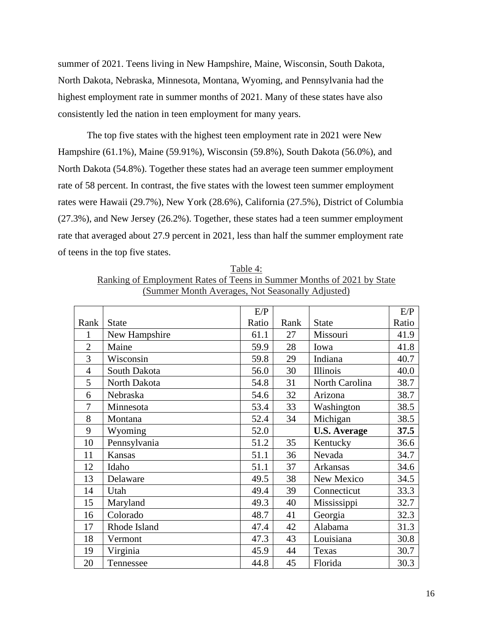summer of 2021. Teens living in New Hampshire, Maine, Wisconsin, South Dakota, North Dakota, Nebraska, Minnesota, Montana, Wyoming, and Pennsylvania had the highest employment rate in summer months of 2021. Many of these states have also consistently led the nation in teen employment for many years.

The top five states with the highest teen employment rate in 2021 were New Hampshire (61.1%), Maine (59.91%), Wisconsin (59.8%), South Dakota (56.0%), and North Dakota (54.8%). Together these states had an average teen summer employment rate of 58 percent. In contrast, the five states with the lowest teen summer employment rates were Hawaii (29.7%), New York (28.6%), California (27.5%), District of Columbia (27.3%), and New Jersey (26.2%). Together, these states had a teen summer employment rate that averaged about 27.9 percent in 2021, less than half the summer employment rate of teens in the top five states.

Table 4: Ranking of Employment Rates of Teens in Summer Months of 2021 by State (Summer Month Averages, Not Seasonally Adjusted)

|                |               | E/P   |      |                     | E/P   |
|----------------|---------------|-------|------|---------------------|-------|
| Rank           | <b>State</b>  | Ratio | Rank | <b>State</b>        | Ratio |
| 1              | New Hampshire | 61.1  | 27   | Missouri            | 41.9  |
| $\overline{2}$ | Maine         | 59.9  | 28   | Iowa                | 41.8  |
| 3              | Wisconsin     | 59.8  | 29   | Indiana             | 40.7  |
| $\overline{4}$ | South Dakota  | 56.0  | 30   | Illinois            | 40.0  |
| 5              | North Dakota  | 54.8  | 31   | North Carolina      | 38.7  |
| 6              | Nebraska      | 54.6  | 32   | Arizona             | 38.7  |
| 7              | Minnesota     | 53.4  | 33   | Washington          | 38.5  |
| 8              | Montana       | 52.4  | 34   | Michigan            | 38.5  |
| 9              | Wyoming       | 52.0  |      | <b>U.S. Average</b> | 37.5  |
| 10             | Pennsylvania  | 51.2  | 35   | Kentucky            | 36.6  |
| 11             | <b>Kansas</b> | 51.1  | 36   | Nevada              | 34.7  |
| 12             | Idaho         | 51.1  | 37   | Arkansas            | 34.6  |
| 13             | Delaware      | 49.5  | 38   | New Mexico          | 34.5  |
| 14             | Utah          | 49.4  | 39   | Connecticut         | 33.3  |
| 15             | Maryland      | 49.3  | 40   | Mississippi         | 32.7  |
| 16             | Colorado      | 48.7  | 41   | Georgia             | 32.3  |
| 17             | Rhode Island  | 47.4  | 42   | Alabama             | 31.3  |
| 18             | Vermont       | 47.3  | 43   | Louisiana           | 30.8  |
| 19             | Virginia      | 45.9  | 44   | Texas               | 30.7  |
| 20             | Tennessee     | 44.8  | 45   | Florida             | 30.3  |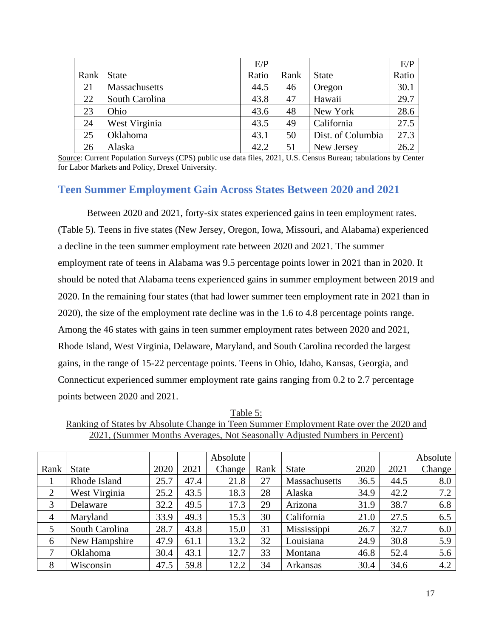|      |                | E/P   |      |                   | E/P   |
|------|----------------|-------|------|-------------------|-------|
| Rank | <b>State</b>   | Ratio | Rank | <b>State</b>      | Ratio |
| 21   | Massachusetts  | 44.5  | 46   | Oregon            | 30.1  |
| 22   | South Carolina | 43.8  | 47   | Hawaii            | 29.7  |
| 23   | Ohio           | 43.6  | 48   | New York          | 28.6  |
| 24   | West Virginia  | 43.5  | 49   | California        | 27.5  |
| 25   | Oklahoma       | 43.1  | 50   | Dist. of Columbia | 27.3  |
| 26   | Alaska         | 42.2  | 51   | New Jersey        | 26.2  |

Source: Current Population Surveys (CPS) public use data files, 2021, U.S. Census Bureau; tabulations by Center for Labor Markets and Policy, Drexel University.

## <span id="page-18-0"></span>**Teen Summer Employment Gain Across States Between 2020 and 2021**

Between 2020 and 2021, forty-six states experienced gains in teen employment rates. (Table 5). Teens in five states (New Jersey, Oregon, Iowa, Missouri, and Alabama) experienced a decline in the teen summer employment rate between 2020 and 2021. The summer employment rate of teens in Alabama was 9.5 percentage points lower in 2021 than in 2020. It should be noted that Alabama teens experienced gains in summer employment between 2019 and 2020. In the remaining four states (that had lower summer teen employment rate in 2021 than in 2020), the size of the employment rate decline was in the 1.6 to 4.8 percentage points range. Among the 46 states with gains in teen summer employment rates between 2020 and 2021, Rhode Island, West Virginia, Delaware, Maryland, and South Carolina recorded the largest gains, in the range of 15-22 percentage points. Teens in Ohio, Idaho, Kansas, Georgia, and Connecticut experienced summer employment rate gains ranging from 0.2 to 2.7 percentage points between 2020 and 2021.

Table 5: Ranking of States by Absolute Change in Teen Summer Employment Rate over the 2020 and 2021, (Summer Months Averages, Not Seasonally Adjusted Numbers in Percent)

|                |                |      |      | Absolute |      |               |      |      | Absolute |
|----------------|----------------|------|------|----------|------|---------------|------|------|----------|
| Rank           | <b>State</b>   | 2020 | 2021 | Change   | Rank | <b>State</b>  | 2020 | 2021 | Change   |
|                | Rhode Island   | 25.7 | 47.4 | 21.8     | 27   | Massachusetts | 36.5 | 44.5 | 8.0      |
| $\overline{2}$ | West Virginia  | 25.2 | 43.5 | 18.3     | 28   | Alaska        | 34.9 | 42.2 | 7.2      |
| 3              | Delaware       | 32.2 | 49.5 | 17.3     | 29   | Arizona       | 31.9 | 38.7 | 6.8      |
| $\overline{4}$ | Maryland       | 33.9 | 49.3 | 15.3     | 30   | California    | 21.0 | 27.5 | 6.5      |
| 5              | South Carolina | 28.7 | 43.8 | 15.0     | 31   | Mississippi   | 26.7 | 32.7 | 6.0      |
| 6              | New Hampshire  | 47.9 | 61.1 | 13.2     | 32   | Louisiana     | 24.9 | 30.8 | 5.9      |
| 7              | Oklahoma       | 30.4 | 43.1 | 12.7     | 33   | Montana       | 46.8 | 52.4 | 5.6      |
| 8              | Wisconsin      | 47.5 | 59.8 | 12.2     | 34   | Arkansas      | 30.4 | 34.6 | 4.2      |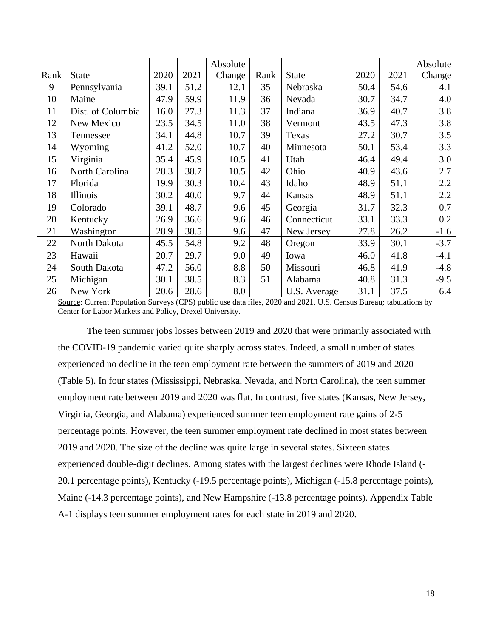|      |                   |      |      | Absolute |      |              |      |      | Absolute |
|------|-------------------|------|------|----------|------|--------------|------|------|----------|
| Rank | <b>State</b>      | 2020 | 2021 | Change   | Rank | <b>State</b> | 2020 | 2021 | Change   |
| 9    | Pennsylvania      | 39.1 | 51.2 | 12.1     | 35   | Nebraska     | 50.4 | 54.6 | 4.1      |
| 10   | Maine             | 47.9 | 59.9 | 11.9     | 36   | Nevada       | 30.7 | 34.7 | 4.0      |
| 11   | Dist. of Columbia | 16.0 | 27.3 | 11.3     | 37   | Indiana      | 36.9 | 40.7 | 3.8      |
| 12   | New Mexico        | 23.5 | 34.5 | 11.0     | 38   | Vermont      | 43.5 | 47.3 | 3.8      |
| 13   | Tennessee         | 34.1 | 44.8 | 10.7     | 39   | Texas        | 27.2 | 30.7 | 3.5      |
| 14   | Wyoming           | 41.2 | 52.0 | 10.7     | 40   | Minnesota    | 50.1 | 53.4 | 3.3      |
| 15   | Virginia          | 35.4 | 45.9 | 10.5     | 41   | Utah         | 46.4 | 49.4 | 3.0      |
| 16   | North Carolina    | 28.3 | 38.7 | 10.5     | 42   | Ohio         | 40.9 | 43.6 | 2.7      |
| 17   | Florida           | 19.9 | 30.3 | 10.4     | 43   | Idaho        | 48.9 | 51.1 | 2.2      |
| 18   | Illinois          | 30.2 | 40.0 | 9.7      | 44   | Kansas       | 48.9 | 51.1 | 2.2      |
| 19   | Colorado          | 39.1 | 48.7 | 9.6      | 45   | Georgia      | 31.7 | 32.3 | 0.7      |
| 20   | Kentucky          | 26.9 | 36.6 | 9.6      | 46   | Connecticut  | 33.1 | 33.3 | 0.2      |
| 21   | Washington        | 28.9 | 38.5 | 9.6      | 47   | New Jersey   | 27.8 | 26.2 | $-1.6$   |
| 22   | North Dakota      | 45.5 | 54.8 | 9.2      | 48   | Oregon       | 33.9 | 30.1 | $-3.7$   |
| 23   | Hawaii            | 20.7 | 29.7 | 9.0      | 49   | Iowa         | 46.0 | 41.8 | $-4.1$   |
| 24   | South Dakota      | 47.2 | 56.0 | 8.8      | 50   | Missouri     | 46.8 | 41.9 | $-4.8$   |
| 25   | Michigan          | 30.1 | 38.5 | 8.3      | 51   | Alabama      | 40.8 | 31.3 | $-9.5$   |
| 26   | New York          | 20.6 | 28.6 | 8.0      |      | U.S. Average | 31.1 | 37.5 | 6.4      |

Source: Current Population Surveys (CPS) public use data files, 2020 and 2021, U.S. Census Bureau; tabulations by Center for Labor Markets and Policy, Drexel University.

The teen summer jobs losses between 2019 and 2020 that were primarily associated with the COVID-19 pandemic varied quite sharply across states. Indeed, a small number of states experienced no decline in the teen employment rate between the summers of 2019 and 2020 (Table 5). In four states (Mississippi, Nebraska, Nevada, and North Carolina), the teen summer employment rate between 2019 and 2020 was flat. In contrast, five states (Kansas, New Jersey, Virginia, Georgia, and Alabama) experienced summer teen employment rate gains of 2-5 percentage points. However, the teen summer employment rate declined in most states between 2019 and 2020. The size of the decline was quite large in several states. Sixteen states experienced double-digit declines. Among states with the largest declines were Rhode Island (- 20.1 percentage points), Kentucky (-19.5 percentage points), Michigan (-15.8 percentage points), Maine (-14.3 percentage points), and New Hampshire (-13.8 percentage points). Appendix Table A-1 displays teen summer employment rates for each state in 2019 and 2020.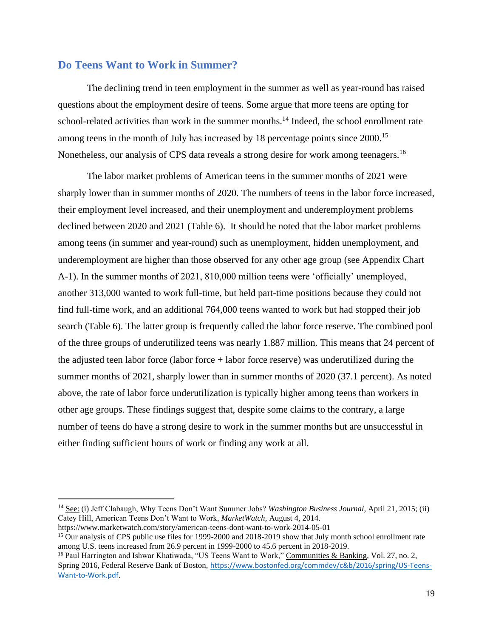## <span id="page-20-0"></span>**Do Teens Want to Work in Summer?**

The declining trend in teen employment in the summer as well as year-round has raised questions about the employment desire of teens. Some argue that more teens are opting for school-related activities than work in the summer months.<sup>14</sup> Indeed, the school enrollment rate among teens in the month of July has increased by 18 percentage points since 2000.<sup>15</sup> Nonetheless, our analysis of CPS data reveals a strong desire for work among teenagers.<sup>16</sup>

The labor market problems of American teens in the summer months of 2021 were sharply lower than in summer months of 2020. The numbers of teens in the labor force increased, their employment level increased, and their unemployment and underemployment problems declined between 2020 and 2021 (Table 6). It should be noted that the labor market problems among teens (in summer and year-round) such as unemployment, hidden unemployment, and underemployment are higher than those observed for any other age group (see Appendix Chart A-1). In the summer months of 2021, 810,000 million teens were 'officially' unemployed, another 313,000 wanted to work full-time, but held part-time positions because they could not find full-time work, and an additional 764,000 teens wanted to work but had stopped their job search (Table 6). The latter group is frequently called the labor force reserve. The combined pool of the three groups of underutilized teens was nearly 1.887 million. This means that 24 percent of the adjusted teen labor force (labor force + labor force reserve) was underutilized during the summer months of 2021, sharply lower than in summer months of 2020 (37.1 percent). As noted above, the rate of labor force underutilization is typically higher among teens than workers in other age groups. These findings suggest that, despite some claims to the contrary, a large number of teens do have a strong desire to work in the summer months but are unsuccessful in either finding sufficient hours of work or finding any work at all.

<sup>&</sup>lt;sup>14</sup> See: (i) Jeff Clabaugh, Why Teens Don't Want Summer Jobs? *Washington Business Journal*, April 21, 2015; (ii) Catey Hill, American Teens Don't Want to Work, *MarketWatch*, August 4, 2014. https://www.marketwatch.com/story/american-teens-dont-want-to-work-2014-05-01

<sup>&</sup>lt;sup>15</sup> Our analysis of CPS public use files for 1999-2000 and 2018-2019 show that July month school enrollment rate among U.S. teens increased from 26.9 percent in 1999-2000 to 45.6 percent in 2018-2019.

<sup>16</sup> Paul Harrington and Ishwar Khatiwada, "US Teens Want to Work," Communities & Banking, Vol. 27, no. 2, Spring 2016, Federal Reserve Bank of Boston, [https://www.bostonfed.org/commdev/c&b/2016/spring/US-Teens-](https://nam10.safelinks.protection.outlook.com/?url=https%3A%2F%2Fwww.bostonfed.org%2Fcommdev%2Fc%26b%2F2016%2Fspring%2FUS-Teens-Want-to-Work.pdf&data=04%7C01%7Cpeh32%40drexel.edu%7Ce66877873734460d78e608d91c7b2faf%7C3664e6fa47bd45a696708c4f080f8ca6%7C0%7C0%7C637572137668011640%7CUnknown%7CTWFpbGZsb3d8eyJWIjoiMC4wLjAwMDAiLCJQIjoiV2luMzIiLCJBTiI6Ik1haWwiLCJXVCI6Mn0%3D%7C1000&sdata=nYcmmuCNnnex0147x6ICyQHM4Lu5nzlpDKiZtSVA6YY%3D&reserved=0)[Want-to-Work.pdf](https://nam10.safelinks.protection.outlook.com/?url=https%3A%2F%2Fwww.bostonfed.org%2Fcommdev%2Fc%26b%2F2016%2Fspring%2FUS-Teens-Want-to-Work.pdf&data=04%7C01%7Cpeh32%40drexel.edu%7Ce66877873734460d78e608d91c7b2faf%7C3664e6fa47bd45a696708c4f080f8ca6%7C0%7C0%7C637572137668011640%7CUnknown%7CTWFpbGZsb3d8eyJWIjoiMC4wLjAwMDAiLCJQIjoiV2luMzIiLCJBTiI6Ik1haWwiLCJXVCI6Mn0%3D%7C1000&sdata=nYcmmuCNnnex0147x6ICyQHM4Lu5nzlpDKiZtSVA6YY%3D&reserved=0).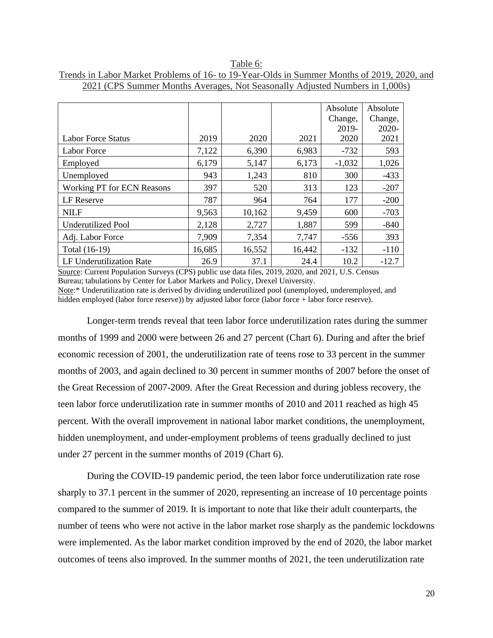|                                   |        |        |        | Absolute | Absolute |
|-----------------------------------|--------|--------|--------|----------|----------|
|                                   |        |        |        | Change,  | Change,  |
|                                   |        |        |        | 2019-    | 2020-    |
| Labor Force Status                | 2019   | 2020   | 2021   | 2020     | 2021     |
| Labor Force                       | 7,122  | 6,390  | 6,983  | $-732$   | 593      |
| Employed                          | 6,179  | 5,147  | 6,173  | $-1,032$ | 1,026    |
| Unemployed                        | 943    | 1,243  | 810    | 300      | $-433$   |
| <b>Working PT for ECN Reasons</b> | 397    | 520    | 313    | 123      | $-207$   |
| LF Reserve                        | 787    | 964    | 764    | 177      | $-200$   |
| <b>NILF</b>                       | 9,563  | 10,162 | 9,459  | 600      | $-703$   |
| <b>Underutilized Pool</b>         | 2,128  | 2,727  | 1,887  | 599      | $-840$   |
| Adj. Labor Force                  | 7,909  | 7,354  | 7,747  | $-556$   | 393      |
| Total (16-19)                     | 16,685 | 16,552 | 16,442 | $-132$   | $-110$   |
| LF Underutilization Rate          | 26.9   | 37.1   | 24.4   | 10.2     | $-12.7$  |

Table 6: Trends in Labor Market Problems of 16- to 19-Year-Olds in Summer Months of 2019, 2020, and 2021 (CPS Summer Months Averages, Not Seasonally Adjusted Numbers in 1,000s)

Source: Current Population Surveys (CPS) public use data files, 2019, 2020, and 2021, U.S. Census Bureau; tabulations by Center for Labor Markets and Policy, Drexel University. Note:\* Underutilization rate is derived by dividing underutilized pool (unemployed, underemployed, and

hidden employed (labor force reserve)) by adjusted labor force (labor force + labor force reserve).

Longer-term trends reveal that teen labor force underutilization rates during the summer months of 1999 and 2000 were between 26 and 27 percent (Chart 6). During and after the brief economic recession of 2001, the underutilization rate of teens rose to 33 percent in the summer months of 2003, and again declined to 30 percent in summer months of 2007 before the onset of the Great Recession of 2007-2009. After the Great Recession and during jobless recovery, the teen labor force underutilization rate in summer months of 2010 and 2011 reached as high 45 percent. With the overall improvement in national labor market conditions, the unemployment, hidden unemployment, and under-employment problems of teens gradually declined to just under 27 percent in the summer months of 2019 (Chart 6).

During the COVID-19 pandemic period, the teen labor force underutilization rate rose sharply to 37.1 percent in the summer of 2020, representing an increase of 10 percentage points compared to the summer of 2019. It is important to note that like their adult counterparts, the number of teens who were not active in the labor market rose sharply as the pandemic lockdowns were implemented. As the labor market condition improved by the end of 2020, the labor market outcomes of teens also improved. In the summer months of 2021, the teen underutilization rate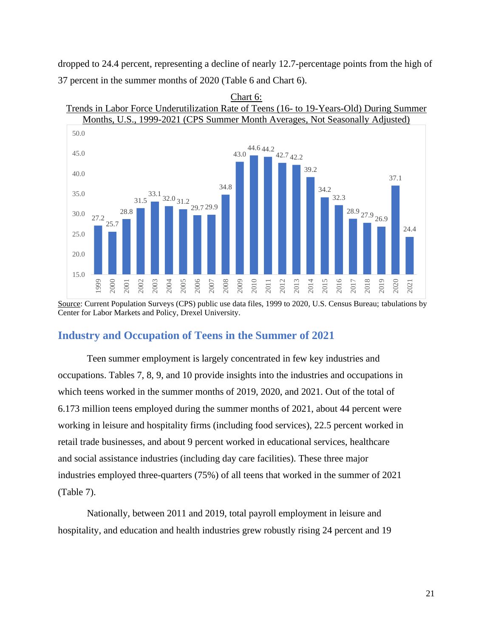dropped to 24.4 percent, representing a decline of nearly 12.7-percentage points from the high of 37 percent in the summer months of 2020 (Table 6 and Chart 6).



Chart 6: Trends in Labor Force Underutilization Rate of Teens (16- to 19-Years-Old) During Summer

Source: Current Population Surveys (CPS) public use data files, 1999 to 2020, U.S. Census Bureau; tabulations by Center for Labor Markets and Policy, Drexel University.

## <span id="page-22-0"></span>**Industry and Occupation of Teens in the Summer of 2021**

Teen summer employment is largely concentrated in few key industries and occupations. Tables 7, 8, 9, and 10 provide insights into the industries and occupations in which teens worked in the summer months of 2019, 2020, and 2021. Out of the total of 6.173 million teens employed during the summer months of 2021, about 44 percent were working in leisure and hospitality firms (including food services), 22.5 percent worked in retail trade businesses, and about 9 percent worked in educational services, healthcare and social assistance industries (including day care facilities). These three major industries employed three-quarters (75%) of all teens that worked in the summer of 2021 (Table 7).

Nationally, between 2011 and 2019, total payroll employment in leisure and hospitality, and education and health industries grew robustly rising 24 percent and 19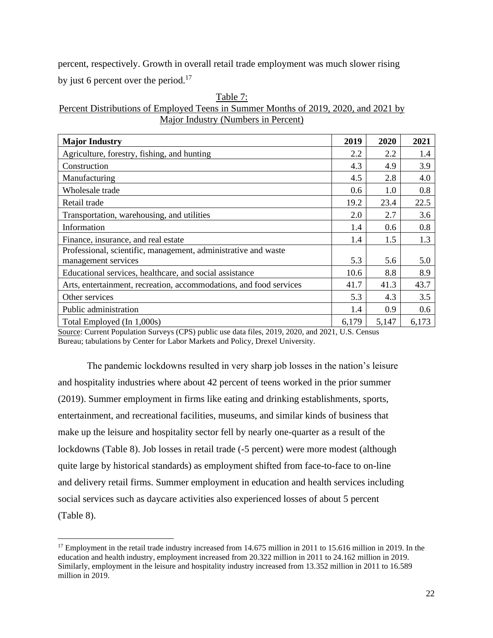percent, respectively. Growth in overall retail trade employment was much slower rising by just 6 percent over the period. $17$ 

 $T - 1.1 - 7$ 

| $1$ able $\ell$ .                                                                   |
|-------------------------------------------------------------------------------------|
| Percent Distributions of Employed Teens in Summer Months of 2019, 2020, and 2021 by |
| Major Industry (Numbers in Percent)                                                 |

| <b>Major Industry</b>                                              | 2019  | 2020  | 2021  |
|--------------------------------------------------------------------|-------|-------|-------|
| Agriculture, forestry, fishing, and hunting                        | 2.2   | 2.2   | 1.4   |
| Construction                                                       | 4.3   | 4.9   | 3.9   |
| Manufacturing                                                      | 4.5   | 2.8   | 4.0   |
| Wholesale trade                                                    | 0.6   | 1.0   | 0.8   |
| Retail trade                                                       | 19.2  | 23.4  | 22.5  |
| Transportation, warehousing, and utilities                         | 2.0   | 2.7   | 3.6   |
| Information                                                        | 1.4   | 0.6   | 0.8   |
| Finance, insurance, and real estate                                | 1.4   | 1.5   | 1.3   |
| Professional, scientific, management, administrative and waste     |       |       |       |
| management services                                                | 5.3   | 5.6   | 5.0   |
| Educational services, healthcare, and social assistance            | 10.6  | 8.8   | 8.9   |
| Arts, entertainment, recreation, accommodations, and food services | 41.7  | 41.3  | 43.7  |
| Other services                                                     | 5.3   | 4.3   | 3.5   |
| Public administration                                              | 1.4   | 0.9   | 0.6   |
| Total Employed (In 1,000s)                                         | 6,179 | 5,147 | 6,173 |

Source: Current Population Surveys (CPS) public use data files, 2019, 2020, and 2021, U.S. Census Bureau; tabulations by Center for Labor Markets and Policy, Drexel University.

The pandemic lockdowns resulted in very sharp job losses in the nation's leisure and hospitality industries where about 42 percent of teens worked in the prior summer (2019). Summer employment in firms like eating and drinking establishments, sports, entertainment, and recreational facilities, museums, and similar kinds of business that make up the leisure and hospitality sector fell by nearly one-quarter as a result of the lockdowns (Table 8). Job losses in retail trade (-5 percent) were more modest (although quite large by historical standards) as employment shifted from face-to-face to on-line and delivery retail firms. Summer employment in education and health services including social services such as daycare activities also experienced losses of about 5 percent (Table 8).

<sup>&</sup>lt;sup>17</sup> Employment in the retail trade industry increased from 14.675 million in 2011 to 15.616 million in 2019. In the education and health industry, employment increased from 20.322 million in 2011 to 24.162 million in 2019. Similarly, employment in the leisure and hospitality industry increased from 13.352 million in 2011 to 16.589 million in 2019.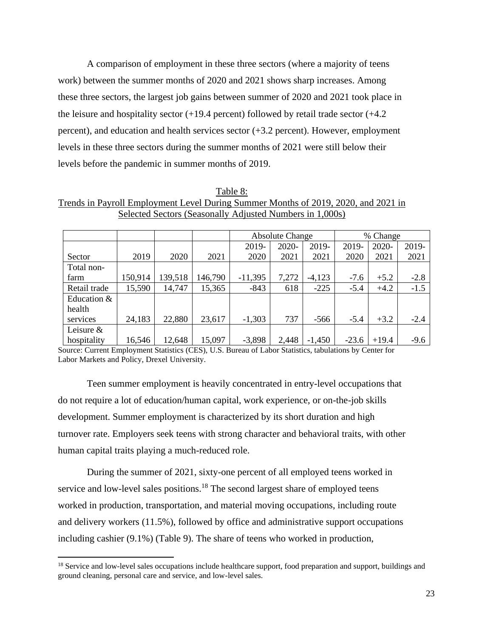A comparison of employment in these three sectors (where a majority of teens work) between the summer months of 2020 and 2021 shows sharp increases. Among these three sectors, the largest job gains between summer of 2020 and 2021 took place in the leisure and hospitality sector  $(+19.4 \text{ percent})$  followed by retail trade sector  $(+4.2 \text{ m})$ percent), and education and health services sector (+3.2 percent). However, employment levels in these three sectors during the summer months of 2021 were still below their levels before the pandemic in summer months of 2019.

Table 8: Trends in Payroll Employment Level During Summer Months of 2019, 2020, and 2021 in Selected Sectors (Seasonally Adjusted Numbers in 1,000s)

|              |         |         |         | <b>Absolute Change</b> |       |          | % Change |         |        |
|--------------|---------|---------|---------|------------------------|-------|----------|----------|---------|--------|
|              |         |         |         | 2019-                  | 2020- | 2019-    | 2019-    | 2020-   | 2019-  |
| Sector       | 2019    | 2020    | 2021    | 2020                   | 2021  | 2021     | 2020     | 2021    | 2021   |
| Total non-   |         |         |         |                        |       |          |          |         |        |
| farm         | 150,914 | 139,518 | 146,790 | $-11,395$              | 7,272 | $-4,123$ | $-7.6$   | $+5.2$  | $-2.8$ |
| Retail trade | 15,590  | 14,747  | 15,365  | $-843$                 | 618   | $-225$   | $-5.4$   | $+4.2$  | $-1.5$ |
| Education &  |         |         |         |                        |       |          |          |         |        |
| health       |         |         |         |                        |       |          |          |         |        |
| services     | 24,183  | 22,880  | 23,617  | $-1,303$               | 737   | $-566$   | $-5.4$   | $+3.2$  | $-2.4$ |
| Leisure $&$  |         |         |         |                        |       |          |          |         |        |
| hospitality  | 16,546  | 12,648  | 15,097  | $-3,898$               | 2,448 | $-1,450$ | $-23.6$  | $+19.4$ | $-9.6$ |

Source: Current Employment Statistics (CES), U.S. Bureau of Labor Statistics, tabulations by Center for Labor Markets and Policy, Drexel University.

Teen summer employment is heavily concentrated in entry-level occupations that do not require a lot of education/human capital, work experience, or on-the-job skills development. Summer employment is characterized by its short duration and high turnover rate. Employers seek teens with strong character and behavioral traits, with other human capital traits playing a much-reduced role.

During the summer of 2021, sixty-one percent of all employed teens worked in service and low-level sales positions.<sup>18</sup> The second largest share of employed teens worked in production, transportation, and material moving occupations, including route and delivery workers (11.5%), followed by office and administrative support occupations including cashier (9.1%) (Table 9). The share of teens who worked in production,

<sup>&</sup>lt;sup>18</sup> Service and low-level sales occupations include healthcare support, food preparation and support, buildings and ground cleaning, personal care and service, and low-level sales.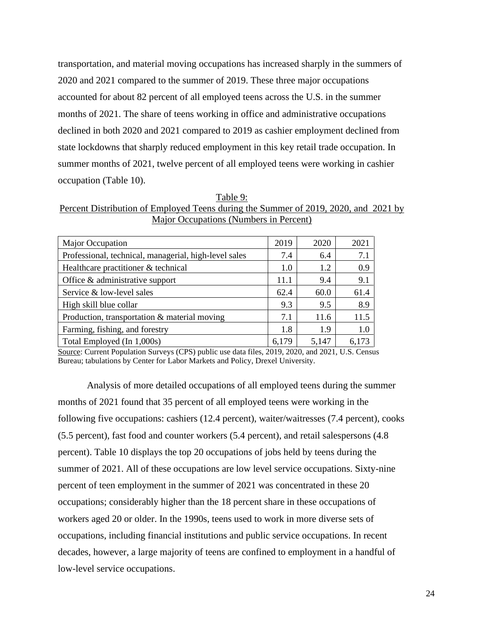transportation, and material moving occupations has increased sharply in the summers of 2020 and 2021 compared to the summer of 2019. These three major occupations accounted for about 82 percent of all employed teens across the U.S. in the summer months of 2021. The share of teens working in office and administrative occupations declined in both 2020 and 2021 compared to 2019 as cashier employment declined from state lockdowns that sharply reduced employment in this key retail trade occupation. In summer months of 2021, twelve percent of all employed teens were working in cashier occupation (Table 10).

Table 9: Percent Distribution of Employed Teens during the Summer of 2019, 2020, and 2021 by Major Occupations (Numbers in Percent)

| Major Occupation                                      | 2019  | 2020  | 2021  |
|-------------------------------------------------------|-------|-------|-------|
| Professional, technical, managerial, high-level sales | 7.4   | 6.4   | 7.1   |
| Healthcare practitioner & technical                   | 1.0   | 1.2   | 0.9   |
| Office & administrative support                       | 11.1  | 9.4   | 9.1   |
| Service & low-level sales                             | 62.4  | 60.0  | 61.4  |
| High skill blue collar                                | 9.3   | 9.5   | 8.9   |
| Production, transportation & material moving          | 7.1   | 11.6  | 11.5  |
| Farming, fishing, and forestry                        | 1.8   | 1.9   | 1.0   |
| Total Employed (In 1,000s)                            | 6,179 | 5,147 | 6,173 |

Source: Current Population Surveys (CPS) public use data files, 2019, 2020, and 2021, U.S. Census Bureau; tabulations by Center for Labor Markets and Policy, Drexel University.

Analysis of more detailed occupations of all employed teens during the summer months of 2021 found that 35 percent of all employed teens were working in the following five occupations: cashiers (12.4 percent), waiter/waitresses (7.4 percent), cooks (5.5 percent), fast food and counter workers (5.4 percent), and retail salespersons (4.8 percent). Table 10 displays the top 20 occupations of jobs held by teens during the summer of 2021. All of these occupations are low level service occupations. Sixty-nine percent of teen employment in the summer of 2021 was concentrated in these 20 occupations; considerably higher than the 18 percent share in these occupations of workers aged 20 or older. In the 1990s, teens used to work in more diverse sets of occupations, including financial institutions and public service occupations. In recent decades, however, a large majority of teens are confined to employment in a handful of low-level service occupations.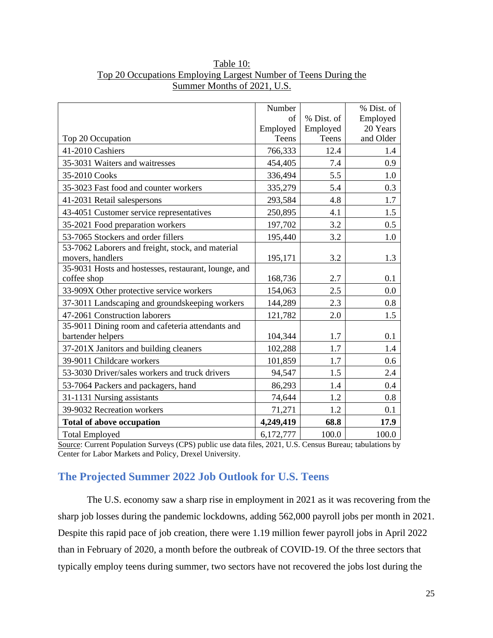|                                                      | Number    |            | % Dist. of |
|------------------------------------------------------|-----------|------------|------------|
|                                                      | of        | % Dist. of | Employed   |
|                                                      | Employed  | Employed   | 20 Years   |
| Top 20 Occupation                                    | Teens     | Teens      | and Older  |
| 41-2010 Cashiers                                     | 766,333   | 12.4       | 1.4        |
| 35-3031 Waiters and waitresses                       | 454,405   | 7.4        | 0.9        |
| 35-2010 Cooks                                        | 336,494   | 5.5        | 1.0        |
| 35-3023 Fast food and counter workers                | 335,279   | 5.4        | 0.3        |
| 41-2031 Retail salespersons                          | 293,584   | 4.8        | 1.7        |
| 43-4051 Customer service representatives             | 250,895   | 4.1        | 1.5        |
| 35-2021 Food preparation workers                     | 197,702   | 3.2        | 0.5        |
| 53-7065 Stockers and order fillers                   | 195,440   | 3.2        | 1.0        |
| 53-7062 Laborers and freight, stock, and material    |           |            |            |
| movers, handlers                                     | 195,171   | 3.2        | 1.3        |
| 35-9031 Hosts and hostesses, restaurant, lounge, and |           |            |            |
| coffee shop                                          | 168,736   | 2.7        | 0.1        |
| 33-909X Other protective service workers             | 154,063   | 2.5        | 0.0        |
| 37-3011 Landscaping and groundskeeping workers       | 144,289   | 2.3        | 0.8        |
| 47-2061 Construction laborers                        | 121,782   | 2.0        | 1.5        |
| 35-9011 Dining room and cafeteria attendants and     |           |            |            |
| bartender helpers                                    | 104,344   | 1.7        | 0.1        |
| 37-201X Janitors and building cleaners               | 102,288   | 1.7        | 1.4        |
| 39-9011 Childcare workers                            | 101,859   | 1.7        | 0.6        |
| 53-3030 Driver/sales workers and truck drivers       | 94,547    | 1.5        | 2.4        |
| 53-7064 Packers and packagers, hand                  | 86,293    | 1.4        | 0.4        |
| 31-1131 Nursing assistants                           | 74,644    | 1.2        | 0.8        |
| 39-9032 Recreation workers                           | 71,271    | 1.2        | 0.1        |
| <b>Total of above occupation</b>                     | 4,249,419 | 68.8       | 17.9       |
| <b>Total Employed</b>                                | 6,172,777 | 100.0      | 100.0      |

## Table 10: Top 20 Occupations Employing Largest Number of Teens During the Summer Months of 2021, U.S.

Source: Current Population Surveys (CPS) public use data files, 2021, U.S. Census Bureau; tabulations by Center for Labor Markets and Policy, Drexel University.

## <span id="page-26-0"></span>**The Projected Summer 2022 Job Outlook for U.S. Teens**

The U.S. economy saw a sharp rise in employment in 2021 as it was recovering from the sharp job losses during the pandemic lockdowns, adding 562,000 payroll jobs per month in 2021. Despite this rapid pace of job creation, there were 1.19 million fewer payroll jobs in April 2022 than in February of 2020, a month before the outbreak of COVID-19. Of the three sectors that typically employ teens during summer, two sectors have not recovered the jobs lost during the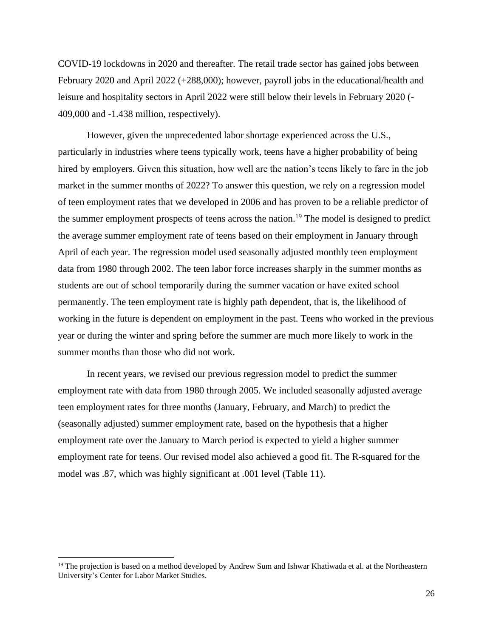COVID-19 lockdowns in 2020 and thereafter. The retail trade sector has gained jobs between February 2020 and April 2022 (+288,000); however, payroll jobs in the educational/health and leisure and hospitality sectors in April 2022 were still below their levels in February 2020 (- 409,000 and -1.438 million, respectively).

However, given the unprecedented labor shortage experienced across the U.S., particularly in industries where teens typically work, teens have a higher probability of being hired by employers. Given this situation, how well are the nation's teens likely to fare in the job market in the summer months of 2022? To answer this question, we rely on a regression model of teen employment rates that we developed in 2006 and has proven to be a reliable predictor of the summer employment prospects of teens across the nation.<sup>19</sup> The model is designed to predict the average summer employment rate of teens based on their employment in January through April of each year. The regression model used seasonally adjusted monthly teen employment data from 1980 through 2002. The teen labor force increases sharply in the summer months as students are out of school temporarily during the summer vacation or have exited school permanently. The teen employment rate is highly path dependent, that is, the likelihood of working in the future is dependent on employment in the past. Teens who worked in the previous year or during the winter and spring before the summer are much more likely to work in the summer months than those who did not work.

In recent years, we revised our previous regression model to predict the summer employment rate with data from 1980 through 2005. We included seasonally adjusted average teen employment rates for three months (January, February, and March) to predict the (seasonally adjusted) summer employment rate, based on the hypothesis that a higher employment rate over the January to March period is expected to yield a higher summer employment rate for teens. Our revised model also achieved a good fit. The R-squared for the model was .87, which was highly significant at .001 level (Table 11).

<sup>&</sup>lt;sup>19</sup> The projection is based on a method developed by Andrew Sum and Ishwar Khatiwada et al. at the Northeastern University's Center for Labor Market Studies.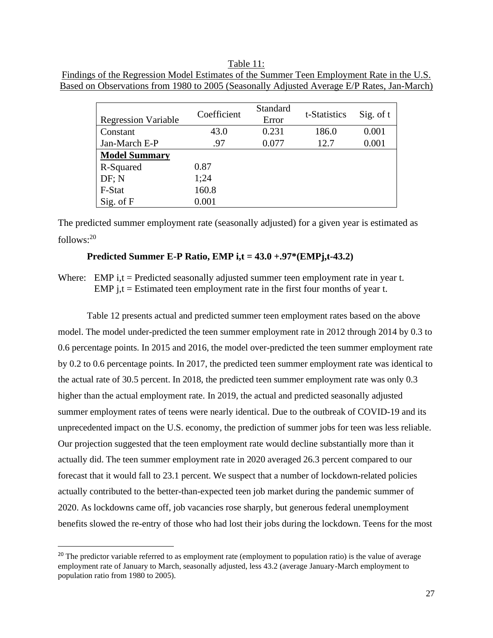Table 11: Findings of the Regression Model Estimates of the Summer Teen Employment Rate in the U.S. Based on Observations from 1980 to 2005 (Seasonally Adjusted Average E/P Rates, Jan-March)

| <b>Regression Variable</b> | Coefficient | Standard<br>Error | t-Statistics | Sig. of t |  |
|----------------------------|-------------|-------------------|--------------|-----------|--|
| Constant                   | 43.0        | 0.231             | 186.0        | 0.001     |  |
| Jan-March E-P              | .97         | 0.077             | 12.7         | 0.001     |  |
| <b>Model Summary</b>       |             |                   |              |           |  |
| R-Squared                  | 0.87        |                   |              |           |  |
| DF: N                      | 1;24        |                   |              |           |  |
| F-Stat                     | 160.8       |                   |              |           |  |
| Sig. of F                  | 0.001       |                   |              |           |  |

The predicted summer employment rate (seasonally adjusted) for a given year is estimated as follows:<sup>20</sup>

#### **Predicted Summer E-P Ratio, EMP i,t = 43.0 +.97\*(EMPj,t-43.2)**

Where: EMP i,t = Predicted seasonally adjusted summer teen employment rate in year t. EMP j,t = Estimated teen employment rate in the first four months of year t.

Table 12 presents actual and predicted summer teen employment rates based on the above model. The model under-predicted the teen summer employment rate in 2012 through 2014 by 0.3 to 0.6 percentage points. In 2015 and 2016, the model over-predicted the teen summer employment rate by 0.2 to 0.6 percentage points. In 2017, the predicted teen summer employment rate was identical to the actual rate of 30.5 percent. In 2018, the predicted teen summer employment rate was only 0.3 higher than the actual employment rate. In 2019, the actual and predicted seasonally adjusted summer employment rates of teens were nearly identical. Due to the outbreak of COVID-19 and its unprecedented impact on the U.S. economy, the prediction of summer jobs for teen was less reliable. Our projection suggested that the teen employment rate would decline substantially more than it actually did. The teen summer employment rate in 2020 averaged 26.3 percent compared to our forecast that it would fall to 23.1 percent. We suspect that a number of lockdown-related policies actually contributed to the better-than-expected teen job market during the pandemic summer of 2020. As lockdowns came off, job vacancies rose sharply, but generous federal unemployment benefits slowed the re-entry of those who had lost their jobs during the lockdown. Teens for the most

<sup>&</sup>lt;sup>20</sup> The predictor variable referred to as employment rate (employment to population ratio) is the value of average employment rate of January to March, seasonally adjusted, less 43.2 (average January-March employment to population ratio from 1980 to 2005).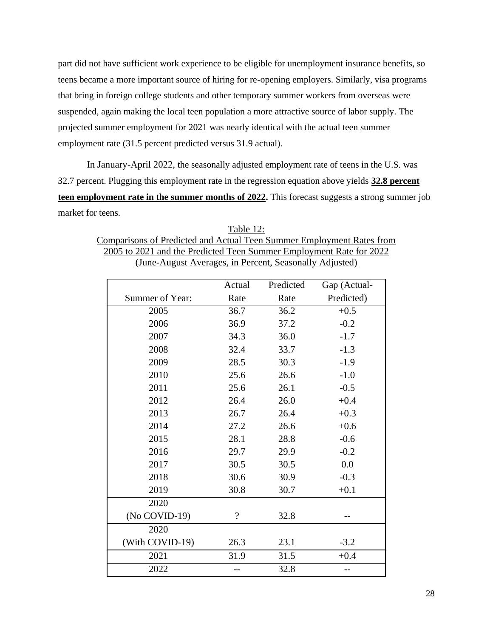part did not have sufficient work experience to be eligible for unemployment insurance benefits, so teens became a more important source of hiring for re-opening employers. Similarly, visa programs that bring in foreign college students and other temporary summer workers from overseas were suspended, again making the local teen population a more attractive source of labor supply. The projected summer employment for 2021 was nearly identical with the actual teen summer employment rate (31.5 percent predicted versus 31.9 actual).

In January-April 2022, the seasonally adjusted employment rate of teens in the U.S. was 32.7 percent. Plugging this employment rate in the regression equation above yields **32.8 percent teen employment rate in the summer months of 2022.** This forecast suggests a strong summer job market for teens.

| Table 12:                                                             |
|-----------------------------------------------------------------------|
| Comparisons of Predicted and Actual Teen Summer Employment Rates from |
| 2005 to 2021 and the Predicted Teen Summer Employment Rate for 2022   |
| (June-August Averages, in Percent, Seasonally Adjusted)               |

|                 | Actual         | Predicted | Gap (Actual- |
|-----------------|----------------|-----------|--------------|
| Summer of Year: | Rate           | Rate      | Predicted)   |
| 2005            | 36.7           | 36.2      | $+0.5$       |
| 2006            | 36.9           | 37.2      | $-0.2$       |
| 2007            | 34.3           | 36.0      | $-1.7$       |
| 2008            | 32.4           | 33.7      | $-1.3$       |
| 2009            | 28.5           | 30.3      | $-1.9$       |
| 2010            | 25.6           | 26.6      | $-1.0$       |
| 2011            | 25.6           | 26.1      | $-0.5$       |
| 2012            | 26.4           | 26.0      | $+0.4$       |
| 2013            | 26.7           | 26.4      | $+0.3$       |
| 2014            | 27.2           | 26.6      | $+0.6$       |
| 2015            | 28.1           | 28.8      | $-0.6$       |
| 2016            | 29.7           | 29.9      | $-0.2$       |
| 2017            | 30.5           | 30.5      | 0.0          |
| 2018            | 30.6           | 30.9      | $-0.3$       |
| 2019            | 30.8           | 30.7      | $+0.1$       |
| 2020            |                |           |              |
| (No COVID-19)   | $\overline{?}$ | 32.8      |              |
| 2020            |                |           |              |
| (With COVID-19) | 26.3           | 23.1      | $-3.2$       |
| 2021            | 31.9           | 31.5      | $+0.4$       |
| 2022            |                | 32.8      |              |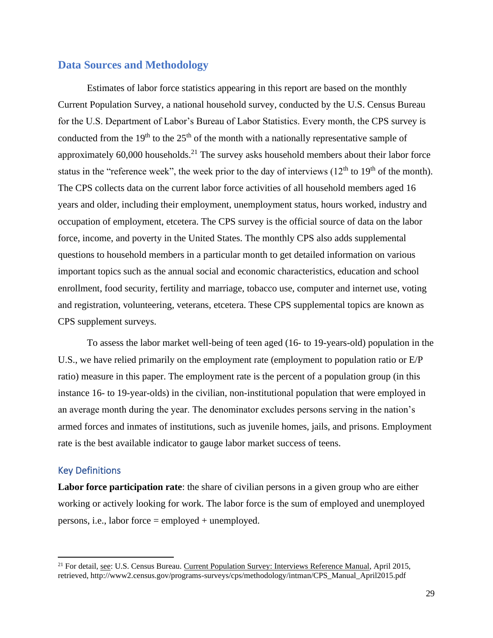## <span id="page-30-0"></span>**Data Sources and Methodology**

Estimates of labor force statistics appearing in this report are based on the monthly Current Population Survey, a national household survey, conducted by the U.S. Census Bureau for the U.S. Department of Labor's Bureau of Labor Statistics. Every month, the CPS survey is conducted from the 19<sup>th</sup> to the 25<sup>th</sup> of the month with a nationally representative sample of approximately  $60,000$  households.<sup>21</sup> The survey asks household members about their labor force status in the "reference week", the week prior to the day of interviews  $(12<sup>th</sup>$  to  $19<sup>th</sup>$  of the month). The CPS collects data on the current labor force activities of all household members aged 16 years and older, including their employment, unemployment status, hours worked, industry and occupation of employment, etcetera. The CPS survey is the official source of data on the labor force, income, and poverty in the United States. The monthly CPS also adds supplemental questions to household members in a particular month to get detailed information on various important topics such as the annual social and economic characteristics, education and school enrollment, food security, fertility and marriage, tobacco use, computer and internet use, voting and registration, volunteering, veterans, etcetera. These CPS supplemental topics are known as CPS supplement surveys.

To assess the labor market well-being of teen aged (16- to 19-years-old) population in the U.S., we have relied primarily on the employment rate (employment to population ratio or E/P ratio) measure in this paper. The employment rate is the percent of a population group (in this instance 16- to 19-year-olds) in the civilian, non-institutional population that were employed in an average month during the year. The denominator excludes persons serving in the nation's armed forces and inmates of institutions, such as juvenile homes, jails, and prisons. Employment rate is the best available indicator to gauge labor market success of teens.

#### <span id="page-30-1"></span>Key Definitions

Labor force participation rate: the share of civilian persons in a given group who are either working or actively looking for work. The labor force is the sum of employed and unemployed persons, i.e., labor force = employed + unemployed.

<sup>&</sup>lt;sup>21</sup> For detail, see: U.S. Census Bureau. Current Population Survey: Interviews Reference Manual, April 2015, retrieved, http://www2.census.gov/programs-surveys/cps/methodology/intman/CPS\_Manual\_April2015.pdf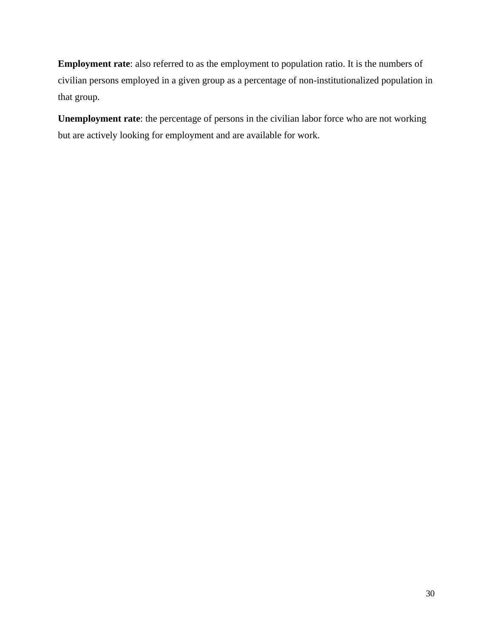**Employment rate**: also referred to as the employment to population ratio. It is the numbers of civilian persons employed in a given group as a percentage of non-institutionalized population in that group.

**Unemployment rate**: the percentage of persons in the civilian labor force who are not working but are actively looking for employment and are available for work.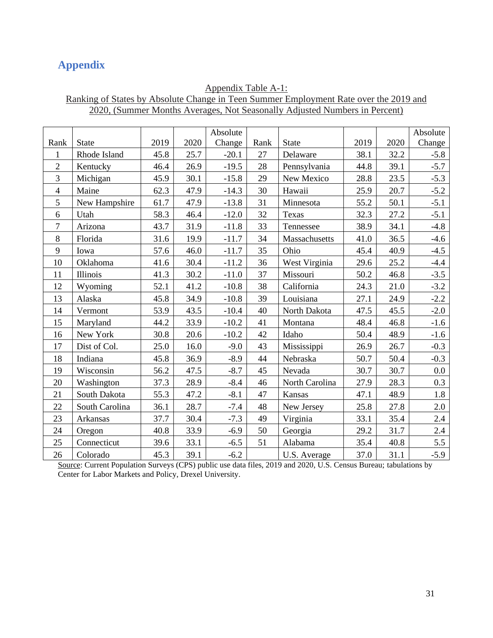## <span id="page-32-0"></span>**Appendix**

## Appendix Table A-1: Ranking of States by Absolute Change in Teen Summer Employment Rate over the 2019 and 2020, (Summer Months Averages, Not Seasonally Adjusted Numbers in Percent)

|                |                |      |      | Absolute |      |                |      |      | Absolute |
|----------------|----------------|------|------|----------|------|----------------|------|------|----------|
| Rank           | <b>State</b>   | 2019 | 2020 | Change   | Rank | <b>State</b>   | 2019 | 2020 | Change   |
| 1              | Rhode Island   | 45.8 | 25.7 | $-20.1$  | 27   | Delaware       | 38.1 | 32.2 | $-5.8$   |
| $\overline{2}$ | Kentucky       | 46.4 | 26.9 | $-19.5$  | 28   | Pennsylvania   | 44.8 | 39.1 | $-5.7$   |
| 3              | Michigan       | 45.9 | 30.1 | $-15.8$  | 29   | New Mexico     | 28.8 | 23.5 | $-5.3$   |
| $\overline{4}$ | Maine          | 62.3 | 47.9 | $-14.3$  | 30   | Hawaii         | 25.9 | 20.7 | $-5.2$   |
| 5              | New Hampshire  | 61.7 | 47.9 | $-13.8$  | 31   | Minnesota      | 55.2 | 50.1 | $-5.1$   |
| 6              | Utah           | 58.3 | 46.4 | $-12.0$  | 32   | Texas          | 32.3 | 27.2 | $-5.1$   |
| 7              | Arizona        | 43.7 | 31.9 | $-11.8$  | 33   | Tennessee      | 38.9 | 34.1 | $-4.8$   |
| 8              | Florida        | 31.6 | 19.9 | $-11.7$  | 34   | Massachusetts  | 41.0 | 36.5 | $-4.6$   |
| 9              | Iowa           | 57.6 | 46.0 | $-11.7$  | 35   | Ohio           | 45.4 | 40.9 | $-4.5$   |
| 10             | Oklahoma       | 41.6 | 30.4 | $-11.2$  | 36   | West Virginia  | 29.6 | 25.2 | $-4.4$   |
| 11             | Illinois       | 41.3 | 30.2 | $-11.0$  | 37   | Missouri       | 50.2 | 46.8 | $-3.5$   |
| 12             | Wyoming        | 52.1 | 41.2 | $-10.8$  | 38   | California     | 24.3 | 21.0 | $-3.2$   |
| 13             | Alaska         | 45.8 | 34.9 | $-10.8$  | 39   | Louisiana      | 27.1 | 24.9 | $-2.2$   |
| 14             | Vermont        | 53.9 | 43.5 | $-10.4$  | 40   | North Dakota   | 47.5 | 45.5 | $-2.0$   |
| 15             | Maryland       | 44.2 | 33.9 | $-10.2$  | 41   | Montana        | 48.4 | 46.8 | $-1.6$   |
| 16             | New York       | 30.8 | 20.6 | $-10.2$  | 42   | Idaho          | 50.4 | 48.9 | $-1.6$   |
| 17             | Dist of Col.   | 25.0 | 16.0 | $-9.0$   | 43   | Mississippi    | 26.9 | 26.7 | $-0.3$   |
| 18             | Indiana        | 45.8 | 36.9 | $-8.9$   | 44   | Nebraska       | 50.7 | 50.4 | $-0.3$   |
| 19             | Wisconsin      | 56.2 | 47.5 | $-8.7$   | 45   | Nevada         | 30.7 | 30.7 | 0.0      |
| 20             | Washington     | 37.3 | 28.9 | $-8.4$   | 46   | North Carolina | 27.9 | 28.3 | 0.3      |
| 21             | South Dakota   | 55.3 | 47.2 | $-8.1$   | 47   | Kansas         | 47.1 | 48.9 | 1.8      |
| 22             | South Carolina | 36.1 | 28.7 | $-7.4$   | 48   | New Jersey     | 25.8 | 27.8 | 2.0      |
| 23             | Arkansas       | 37.7 | 30.4 | $-7.3$   | 49   | Virginia       | 33.1 | 35.4 | 2.4      |
| 24             | Oregon         | 40.8 | 33.9 | $-6.9$   | 50   | Georgia        | 29.2 | 31.7 | 2.4      |
| 25             | Connecticut    | 39.6 | 33.1 | $-6.5$   | 51   | Alabama        | 35.4 | 40.8 | 5.5      |
| 26             | Colorado       | 45.3 | 39.1 | $-6.2$   |      | U.S. Average   | 37.0 | 31.1 | $-5.9$   |

Source: Current Population Surveys (CPS) public use data files, 2019 and 2020, U.S. Census Bureau; tabulations by Center for Labor Markets and Policy, Drexel University.